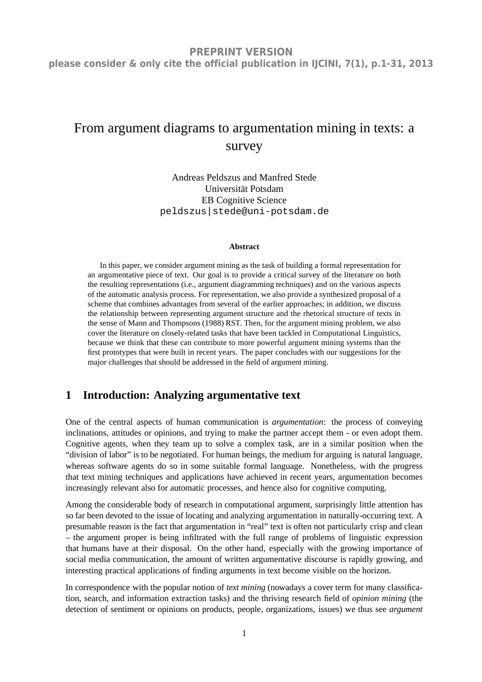# From argument diagrams to argumentation mining in texts: a survey

Andreas Peldszus and Manfred Stede Universität Potsdam EB Cognitive Science peldszus|stede@uni-potsdam.de

#### **Abstract**

In this paper, we consider argument mining as the task of building a formal representation for an argumentative piece of text. Our goal is to provide a critical survey of the literature on both the resulting representations (i.e., argument diagramming techniques) and on the various aspects of the automatic analysis process. For representation, we also provide a synthesized proposal of a scheme that combines advantages from several of the earlier approaches; in addition, we discuss the relationship between representing argument structure and the rhetorical structure of texts in the sense of Mann and Thompsons (1988) RST. Then, for the argument mining problem, we also cover the literature on closely-related tasks that have been tackled in Computational Linguistics, because we think that these can contribute to more powerful argument mining systems than the first prototypes that were built in recent years. The paper concludes with our suggestions for the major challenges that should be addressed in the field of argument mining.

# **1 Introduction: Analyzing argumentative text**

One of the central aspects of human communication is *argumentation*: the process of conveying inclinations, attitudes or opinions, and trying to make the partner accept them - or even adopt them. Cognitive agents, when they team up to solve a complex task, are in a similar position when the "division of labor" is to be negotiated. For human beings, the medium for arguing is natural language, whereas software agents do so in some suitable formal language. Nonetheless, with the progress that text mining techniques and applications have achieved in recent years, argumentation becomes increasingly relevant also for automatic processes, and hence also for cognitive computing.

Among the considerable body of research in computational argument, surprisingly little attention has so far been devoted to the issue of locating and analyzing argumentation in naturally-occurring text. A presumable reason is the fact that argumentation in "real" text is often not particularly crisp and clean – the argument proper is being infiltrated with the full range of problems of linguistic expression that humans have at their disposal. On the other hand, especially with the growing importance of social media communication, the amount of written argumentative discourse is rapidly growing, and interesting practical applications of finding arguments in text become visible on the horizon.

In correspondence with the popular notion of *text mining* (nowadays a cover term for many classification, search, and information extraction tasks) and the thriving research field of *opinion mining* (the detection of sentiment or opinions on products, people, organizations, issues) we thus see *argument*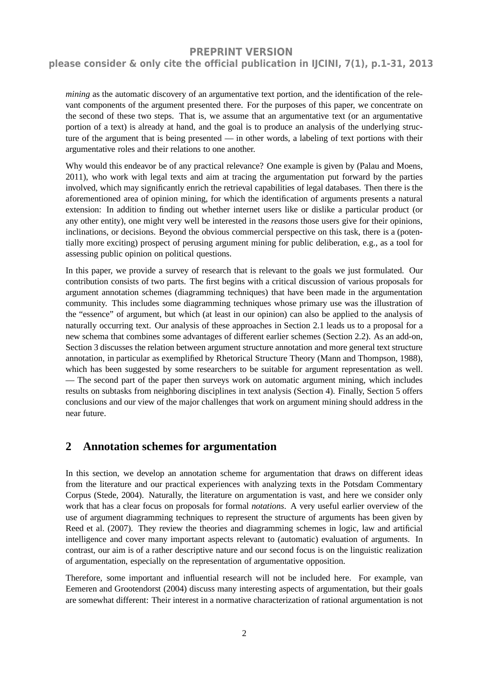### **please consider & only cite the official publication in IJCINI, 7(1), p.1-31, 2013**

*mining* as the automatic discovery of an argumentative text portion, and the identification of the relevant components of the argument presented there. For the purposes of this paper, we concentrate on the second of these two steps. That is, we assume that an argumentative text (or an argumentative portion of a text) is already at hand, and the goal is to produce an analysis of the underlying structure of the argument that is being presented — in other words, a labeling of text portions with their argumentative roles and their relations to one another.

Why would this endeavor be of any practical relevance? One example is given by (Palau and Moens, 2011), who work with legal texts and aim at tracing the argumentation put forward by the parties involved, which may significantly enrich the retrieval capabilities of legal databases. Then there is the aforementioned area of opinion mining, for which the identification of arguments presents a natural extension: In addition to finding out whether internet users like or dislike a particular product (or any other entity), one might very well be interested in the *reasons* those users give for their opinions, inclinations, or decisions. Beyond the obvious commercial perspective on this task, there is a (potentially more exciting) prospect of perusing argument mining for public deliberation, e.g., as a tool for assessing public opinion on political questions.

In this paper, we provide a survey of research that is relevant to the goals we just formulated. Our contribution consists of two parts. The first begins with a critical discussion of various proposals for argument annotation schemes (diagramming techniques) that have been made in the argumentation community. This includes some diagramming techniques whose primary use was the illustration of the "essence" of argument, but which (at least in our opinion) can also be applied to the analysis of naturally occurring text. Our analysis of these approaches in Section 2.1 leads us to a proposal for a new schema that combines some advantages of different earlier schemes (Section 2.2). As an add-on, Section 3 discusses the relation between argument structure annotation and more general text structure annotation, in particular as exemplified by Rhetorical Structure Theory (Mann and Thompson, 1988), which has been suggested by some researchers to be suitable for argument representation as well. — The second part of the paper then surveys work on automatic argument mining, which includes results on subtasks from neighboring disciplines in text analysis (Section 4). Finally, Section 5 offers conclusions and our view of the major challenges that work on argument mining should address in the near future.

### **2 Annotation schemes for argumentation**

In this section, we develop an annotation scheme for argumentation that draws on different ideas from the literature and our practical experiences with analyzing texts in the Potsdam Commentary Corpus (Stede, 2004). Naturally, the literature on argumentation is vast, and here we consider only work that has a clear focus on proposals for formal *notations*. A very useful earlier overview of the use of argument diagramming techniques to represent the structure of arguments has been given by Reed et al. (2007). They review the theories and diagramming schemes in logic, law and artificial intelligence and cover many important aspects relevant to (automatic) evaluation of arguments. In contrast, our aim is of a rather descriptive nature and our second focus is on the linguistic realization of argumentation, especially on the representation of argumentative opposition.

Therefore, some important and influential research will not be included here. For example, van Eemeren and Grootendorst (2004) discuss many interesting aspects of argumentation, but their goals are somewhat different: Their interest in a normative characterization of rational argumentation is not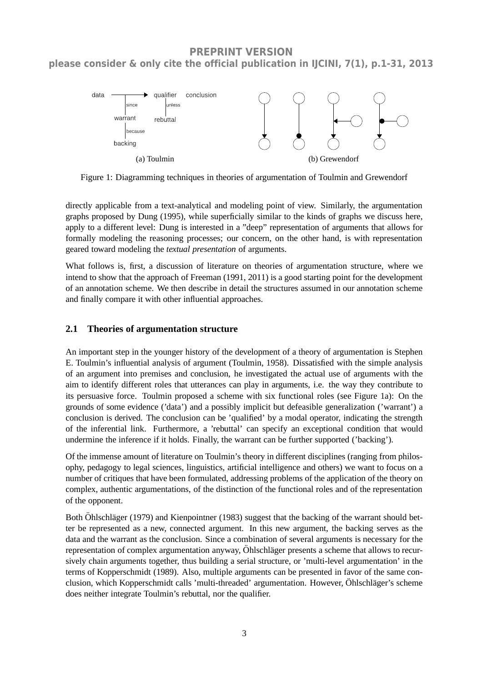

Figure 1: Diagramming techniques in theories of argumentation of Toulmin and Grewendorf

directly applicable from a text-analytical and modeling point of view. Similarly, the argumentation graphs proposed by Dung (1995), while superficially similar to the kinds of graphs we discuss here, apply to a different level: Dung is interested in a "deep" representation of arguments that allows for formally modeling the reasoning processes; our concern, on the other hand, is with representation geared toward modeling the *textual presentation* of arguments.

What follows is, first, a discussion of literature on theories of argumentation structure, where we intend to show that the approach of Freeman (1991, 2011) is a good starting point for the development of an annotation scheme. We then describe in detail the structures assumed in our annotation scheme and finally compare it with other influential approaches.

#### **2.1 Theories of argumentation structure**

An important step in the younger history of the development of a theory of argumentation is Stephen E. Toulmin's influential analysis of argument (Toulmin, 1958). Dissatisfied with the simple analysis of an argument into premises and conclusion, he investigated the actual use of arguments with the aim to identify different roles that utterances can play in arguments, i.e. the way they contribute to its persuasive force. Toulmin proposed a scheme with six functional roles (see Figure 1a): On the grounds of some evidence ('data') and a possibly implicit but defeasible generalization ('warrant') a conclusion is derived. The conclusion can be 'qualified' by a modal operator, indicating the strength of the inferential link. Furthermore, a 'rebuttal' can specify an exceptional condition that would undermine the inference if it holds. Finally, the warrant can be further supported ('backing').

Of the immense amount of literature on Toulmin's theory in different disciplines (ranging from philosophy, pedagogy to legal sciences, linguistics, artificial intelligence and others) we want to focus on a number of critiques that have been formulated, addressing problems of the application of the theory on complex, authentic argumentations, of the distinction of the functional roles and of the representation of the opponent.

Both Öhlschläger (1979) and Kienpointner (1983) suggest that the backing of the warrant should better be represented as a new, connected argument. In this new argument, the backing serves as the data and the warrant as the conclusion. Since a combination of several arguments is necessary for the representation of complex argumentation anyway, Öhlschläger presents a scheme that allows to recursively chain arguments together, thus building a serial structure, or 'multi-level argumentation' in the terms of Kopperschmidt (1989). Also, multiple arguments can be presented in favor of the same conclusion, which Kopperschmidt calls 'multi-threaded' argumentation. However, Öhlschläger's scheme does neither integrate Toulmin's rebuttal, nor the qualifier.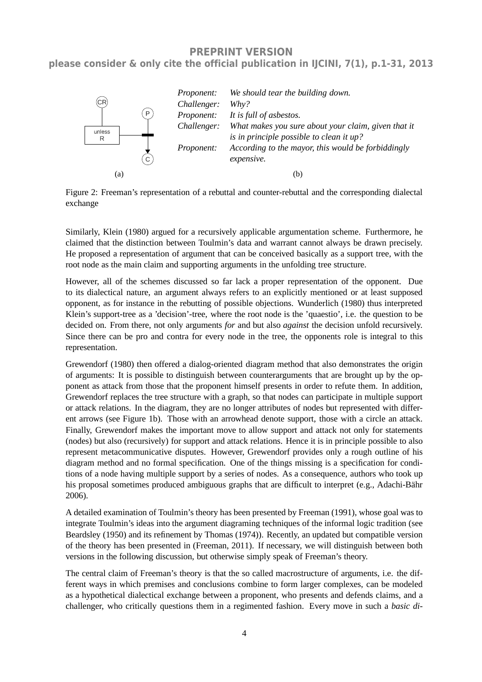

Figure 2: Freeman's representation of a rebuttal and counter-rebuttal and the corresponding dialectal exchange

Similarly, Klein (1980) argued for a recursively applicable argumentation scheme. Furthermore, he claimed that the distinction between Toulmin's data and warrant cannot always be drawn precisely. He proposed a representation of argument that can be conceived basically as a support tree, with the root node as the main claim and supporting arguments in the unfolding tree structure.

However, all of the schemes discussed so far lack a proper representation of the opponent. Due to its dialectical nature, an argument always refers to an explicitly mentioned or at least supposed opponent, as for instance in the rebutting of possible objections. Wunderlich (1980) thus interpreted Klein's support-tree as a 'decision'-tree, where the root node is the 'quaestio', i.e. the question to be decided on. From there, not only arguments *for* and but also *against* the decision unfold recursively. Since there can be pro and contra for every node in the tree, the opponents role is integral to this representation.

Grewendorf (1980) then offered a dialog-oriented diagram method that also demonstrates the origin of arguments: It is possible to distinguish between counterarguments that are brought up by the opponent as attack from those that the proponent himself presents in order to refute them. In addition, Grewendorf replaces the tree structure with a graph, so that nodes can participate in multiple support or attack relations. In the diagram, they are no longer attributes of nodes but represented with different arrows (see Figure 1b). Those with an arrowhead denote support, those with a circle an attack. Finally, Grewendorf makes the important move to allow support and attack not only for statements (nodes) but also (recursively) for support and attack relations. Hence it is in principle possible to also represent metacommunicative disputes. However, Grewendorf provides only a rough outline of his diagram method and no formal specification. One of the things missing is a specification for conditions of a node having multiple support by a series of nodes. As a consequence, authors who took up his proposal sometimes produced ambiguous graphs that are difficult to interpret (e.g., Adachi-Bähr 2006).

A detailed examination of Toulmin's theory has been presented by Freeman (1991), whose goal was to integrate Toulmin's ideas into the argument diagraming techniques of the informal logic tradition (see Beardsley (1950) and its refinement by Thomas (1974)). Recently, an updated but compatible version of the theory has been presented in (Freeman, 2011). If necessary, we will distinguish between both versions in the following discussion, but otherwise simply speak of Freeman's theory.

The central claim of Freeman's theory is that the so called macrostructure of arguments, i.e. the different ways in which premises and conclusions combine to form larger complexes, can be modeled as a hypothetical dialectical exchange between a proponent, who presents and defends claims, and a challenger, who critically questions them in a regimented fashion. Every move in such a *basic di-*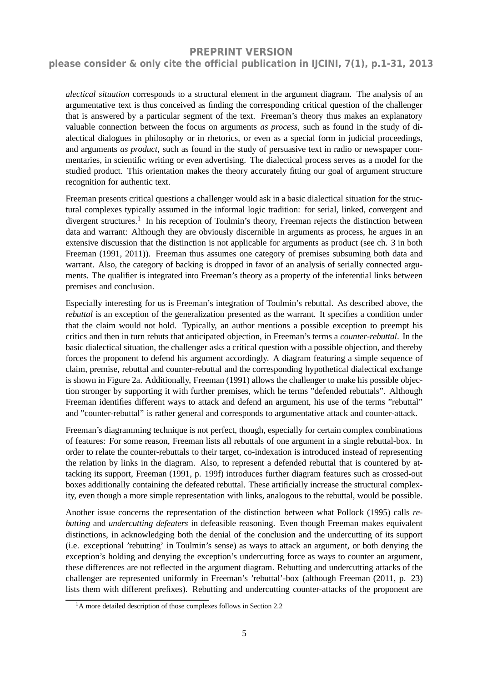### **please consider & only cite the official publication in IJCINI, 7(1), p.1-31, 2013**

*alectical situation* corresponds to a structural element in the argument diagram. The analysis of an argumentative text is thus conceived as finding the corresponding critical question of the challenger that is answered by a particular segment of the text. Freeman's theory thus makes an explanatory valuable connection between the focus on arguments *as process*, such as found in the study of dialectical dialogues in philosophy or in rhetorics, or even as a special form in judicial proceedings, and arguments *as product*, such as found in the study of persuasive text in radio or newspaper commentaries, in scientific writing or even advertising. The dialectical process serves as a model for the studied product. This orientation makes the theory accurately fitting our goal of argument structure recognition for authentic text.

Freeman presents critical questions a challenger would ask in a basic dialectical situation for the structural complexes typically assumed in the informal logic tradition: for serial, linked, convergent and divergent structures.<sup>1</sup> In his reception of Toulmin's theory, Freeman rejects the distinction between data and warrant: Although they are obviously discernible in arguments as process, he argues in an extensive discussion that the distinction is not applicable for arguments as product (see ch. 3 in both Freeman (1991, 2011)). Freeman thus assumes one category of premises subsuming both data and warrant. Also, the category of backing is dropped in favor of an analysis of serially connected arguments. The qualifier is integrated into Freeman's theory as a property of the inferential links between premises and conclusion.

Especially interesting for us is Freeman's integration of Toulmin's rebuttal. As described above, the *rebuttal* is an exception of the generalization presented as the warrant. It specifies a condition under that the claim would not hold. Typically, an author mentions a possible exception to preempt his critics and then in turn rebuts that anticipated objection, in Freeman's terms a *counter-rebuttal*. In the basic dialectical situation, the challenger asks a critical question with a possible objection, and thereby forces the proponent to defend his argument accordingly. A diagram featuring a simple sequence of claim, premise, rebuttal and counter-rebuttal and the corresponding hypothetical dialectical exchange is shown in Figure 2a. Additionally, Freeman (1991) allows the challenger to make his possible objection stronger by supporting it with further premises, which he terms "defended rebuttals". Although Freeman identifies different ways to attack and defend an argument, his use of the terms "rebuttal" and "counter-rebuttal" is rather general and corresponds to argumentative attack and counter-attack.

Freeman's diagramming technique is not perfect, though, especially for certain complex combinations of features: For some reason, Freeman lists all rebuttals of one argument in a single rebuttal-box. In order to relate the counter-rebuttals to their target, co-indexation is introduced instead of representing the relation by links in the diagram. Also, to represent a defended rebuttal that is countered by attacking its support, Freeman (1991, p. 199f) introduces further diagram features such as crossed-out boxes additionally containing the defeated rebuttal. These artificially increase the structural complexity, even though a more simple representation with links, analogous to the rebuttal, would be possible.

Another issue concerns the representation of the distinction between what Pollock (1995) calls *rebutting* and *undercutting defeaters* in defeasible reasoning. Even though Freeman makes equivalent distinctions, in acknowledging both the denial of the conclusion and the undercutting of its support (i.e. exceptional 'rebutting' in Toulmin's sense) as ways to attack an argument, or both denying the exception's holding and denying the exception's undercutting force as ways to counter an argument, these differences are not reflected in the argument diagram. Rebutting and undercutting attacks of the challenger are represented uniformly in Freeman's 'rebuttal'-box (although Freeman (2011, p. 23) lists them with different prefixes). Rebutting and undercutting counter-attacks of the proponent are

<sup>&</sup>lt;sup>1</sup>A more detailed description of those complexes follows in Section 2.2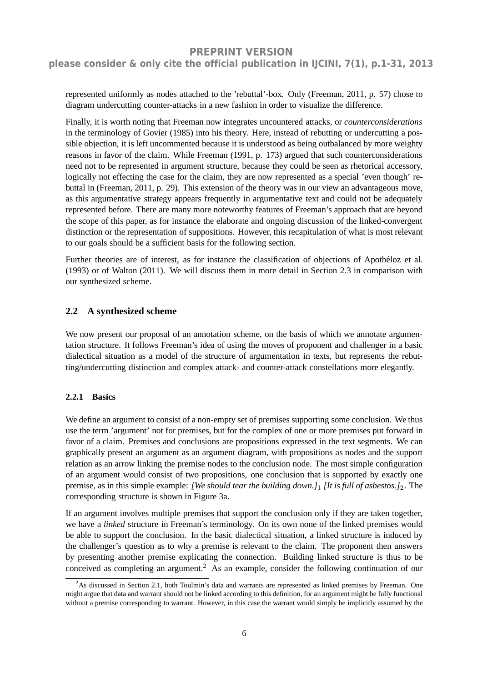### **please consider & only cite the official publication in IJCINI, 7(1), p.1-31, 2013**

represented uniformly as nodes attached to the 'rebuttal'-box. Only (Freeman, 2011, p. 57) chose to diagram undercutting counter-attacks in a new fashion in order to visualize the difference.

Finally, it is worth noting that Freeman now integrates uncountered attacks, or *counterconsiderations* in the terminology of Govier (1985) into his theory. Here, instead of rebutting or undercutting a possible objection, it is left uncommented because it is understood as being outbalanced by more weighty reasons in favor of the claim. While Freeman (1991, p. 173) argued that such counterconsiderations need not to be represented in argument structure, because they could be seen as rhetorical accessory, logically not effecting the case for the claim, they are now represented as a special 'even though' rebuttal in (Freeman, 2011, p. 29). This extension of the theory was in our view an advantageous move, as this argumentative strategy appears frequently in argumentative text and could not be adequately represented before. There are many more noteworthy features of Freeman's approach that are beyond the scope of this paper, as for instance the elaborate and ongoing discussion of the linked-convergent distinction or the representation of suppositions. However, this recapitulation of what is most relevant to our goals should be a sufficient basis for the following section.

Further theories are of interest, as for instance the classification of objections of Apothéloz et al. (1993) or of Walton (2011). We will discuss them in more detail in Section 2.3 in comparison with our synthesized scheme.

#### **2.2 A synthesized scheme**

We now present our proposal of an annotation scheme, on the basis of which we annotate argumentation structure. It follows Freeman's idea of using the moves of proponent and challenger in a basic dialectical situation as a model of the structure of argumentation in texts, but represents the rebutting/undercutting distinction and complex attack- and counter-attack constellations more elegantly.

#### **2.2.1 Basics**

We define an argument to consist of a non-empty set of premises supporting some conclusion. We thus use the term 'argument' not for premises, but for the complex of one or more premises put forward in favor of a claim. Premises and conclusions are propositions expressed in the text segments. We can graphically present an argument as an argument diagram, with propositions as nodes and the support relation as an arrow linking the premise nodes to the conclusion node. The most simple configuration of an argument would consist of two propositions, one conclusion that is supported by exactly one premise, as in this simple example: *[We should tear the building down.]*1 *[It is full of asbestos.]*2. The corresponding structure is shown in Figure 3a.

If an argument involves multiple premises that support the conclusion only if they are taken together, we have a *linked* structure in Freeman's terminology. On its own none of the linked premises would be able to support the conclusion. In the basic dialectical situation, a linked structure is induced by the challenger's question as to why a premise is relevant to the claim. The proponent then answers by presenting another premise explicating the connection. Building linked structure is thus to be conceived as completing an argument.<sup>2</sup> As an example, consider the following continuation of our

 ${}^{2}$ As discussed in Section 2.1, both Toulmin's data and warrants are represented as linked premises by Freeman. One might argue that data and warrant should not be linked according to this definition, for an argument might be fully functional without a premise corresponding to warrant. However, in this case the warrant would simply be implicitly assumed by the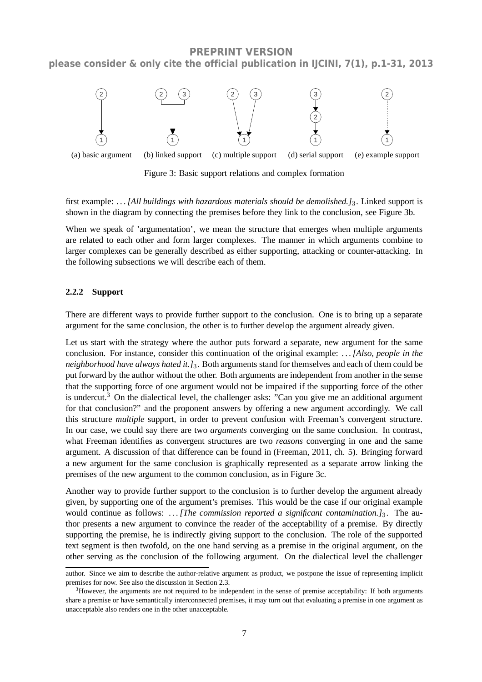

Figure 3: Basic support relations and complex formation

first example: *. . . [All buildings with hazardous materials should be demolished.]*3. Linked support is shown in the diagram by connecting the premises before they link to the conclusion, see Figure 3b.

When we speak of 'argumentation', we mean the structure that emerges when multiple arguments are related to each other and form larger complexes. The manner in which arguments combine to larger complexes can be generally described as either supporting, attacking or counter-attacking. In the following subsections we will describe each of them.

#### **2.2.2 Support**

There are different ways to provide further support to the conclusion. One is to bring up a separate argument for the same conclusion, the other is to further develop the argument already given.

Let us start with the strategy where the author puts forward a separate, new argument for the same conclusion. For instance, consider this continuation of the original example: *. . . [Also, people in the neighborhood have always hated it.]*3. Both arguments stand for themselves and each of them could be put forward by the author without the other. Both arguments are independent from another in the sense that the supporting force of one argument would not be impaired if the supporting force of the other is undercut.<sup>3</sup> On the dialectical level, the challenger asks: "Can you give me an additional argument for that conclusion?" and the proponent answers by offering a new argument accordingly. We call this structure *multiple* support, in order to prevent confusion with Freeman's convergent structure. In our case, we could say there are two *arguments* converging on the same conclusion. In contrast, what Freeman identifies as convergent structures are two *reasons* converging in one and the same argument. A discussion of that difference can be found in (Freeman, 2011, ch. 5). Bringing forward a new argument for the same conclusion is graphically represented as a separate arrow linking the premises of the new argument to the common conclusion, as in Figure 3c.

Another way to provide further support to the conclusion is to further develop the argument already given, by supporting one of the argument's premises. This would be the case if our original example would continue as follows: ... *[The commission reported a significant contamination.]*<sub>3</sub>. The author presents a new argument to convince the reader of the acceptability of a premise. By directly supporting the premise, he is indirectly giving support to the conclusion. The role of the supported text segment is then twofold, on the one hand serving as a premise in the original argument, on the other serving as the conclusion of the following argument. On the dialectical level the challenger

author. Since we aim to describe the author-relative argument as product, we postpone the issue of representing implicit premises for now. See also the discussion in Section 2.3.

 $3H$ owever, the arguments are not required to be independent in the sense of premise acceptability: If both arguments share a premise or have semantically interconnected premises, it may turn out that evaluating a premise in one argument as unacceptable also renders one in the other unacceptable.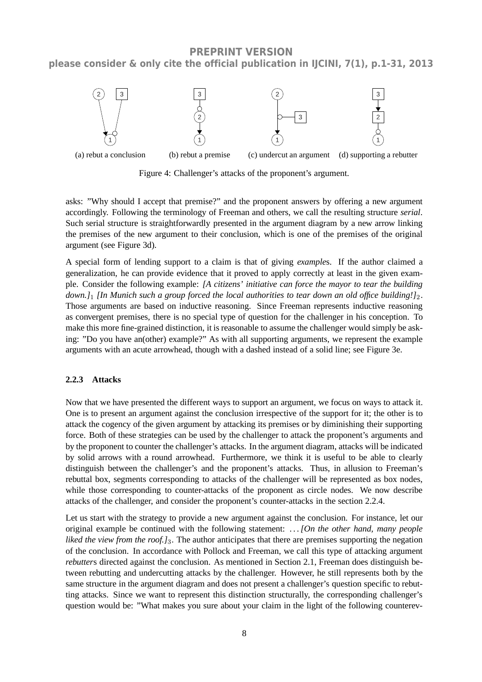

Figure 4: Challenger's attacks of the proponent's argument.

asks: "Why should I accept that premise?" and the proponent answers by offering a new argument accordingly. Following the terminology of Freeman and others, we call the resulting structure *serial*. Such serial structure is straightforwardly presented in the argument diagram by a new arrow linking the premises of the new argument to their conclusion, which is one of the premises of the original argument (see Figure 3d).

A special form of lending support to a claim is that of giving *example*s. If the author claimed a generalization, he can provide evidence that it proved to apply correctly at least in the given example. Consider the following example: *[A citizens' initiative can force the mayor to tear the building down.]*1 *[In Munich such a group forced the local authorities to tear down an old office building!]*2. Those arguments are based on inductive reasoning. Since Freeman represents inductive reasoning as convergent premises, there is no special type of question for the challenger in his conception. To make this more fine-grained distinction, it is reasonable to assume the challenger would simply be asking: "Do you have an(other) example?" As with all supporting arguments, we represent the example arguments with an acute arrowhead, though with a dashed instead of a solid line; see Figure 3e.

#### **2.2.3 Attacks**

Now that we have presented the different ways to support an argument, we focus on ways to attack it. One is to present an argument against the conclusion irrespective of the support for it; the other is to attack the cogency of the given argument by attacking its premises or by diminishing their supporting force. Both of these strategies can be used by the challenger to attack the proponent's arguments and by the proponent to counter the challenger's attacks. In the argument diagram, attacks will be indicated by solid arrows with a round arrowhead. Furthermore, we think it is useful to be able to clearly distinguish between the challenger's and the proponent's attacks. Thus, in allusion to Freeman's rebuttal box, segments corresponding to attacks of the challenger will be represented as box nodes, while those corresponding to counter-attacks of the proponent as circle nodes. We now describe attacks of the challenger, and consider the proponent's counter-attacks in the section 2.2.4.

Let us start with the strategy to provide a new argument against the conclusion. For instance, let our original example be continued with the following statement: *. . . [On the other hand, many people liked the view from the roof.]*3. The author anticipates that there are premises supporting the negation of the conclusion. In accordance with Pollock and Freeman, we call this type of attacking argument *rebutters* directed against the conclusion. As mentioned in Section 2.1, Freeman does distinguish between rebutting and undercutting attacks by the challenger. However, he still represents both by the same structure in the argument diagram and does not present a challenger's question specific to rebutting attacks. Since we want to represent this distinction structurally, the corresponding challenger's question would be: "What makes you sure about your claim in the light of the following counterev-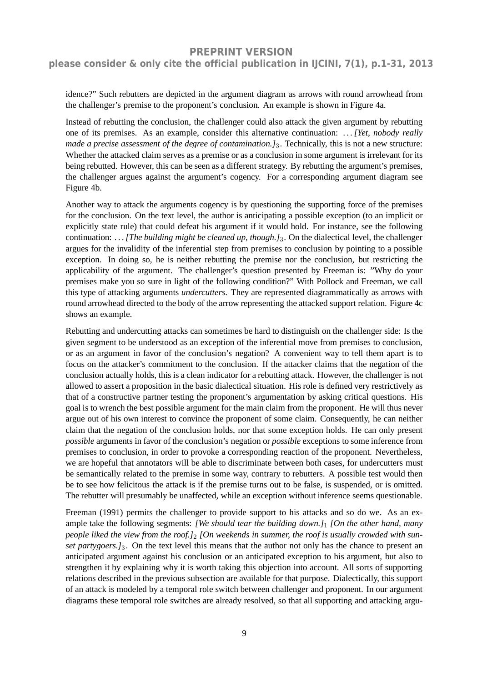### **please consider & only cite the official publication in IJCINI, 7(1), p.1-31, 2013**

idence?" Such rebutters are depicted in the argument diagram as arrows with round arrowhead from the challenger's premise to the proponent's conclusion. An example is shown in Figure 4a.

Instead of rebutting the conclusion, the challenger could also attack the given argument by rebutting one of its premises. As an example, consider this alternative continuation: *. . . [Yet, nobody really made a precise assessment of the degree of contamination.]*3. Technically, this is not a new structure: Whether the attacked claim serves as a premise or as a conclusion in some argument is irrelevant for its being rebutted. However, this can be seen as a different strategy. By rebutting the argument's premises, the challenger argues against the argument's cogency. For a corresponding argument diagram see Figure 4b.

Another way to attack the arguments cogency is by questioning the supporting force of the premises for the conclusion. On the text level, the author is anticipating a possible exception (to an implicit or explicitly state rule) that could defeat his argument if it would hold. For instance, see the following continuation: *. . . [The building might be cleaned up, though.]*3. On the dialectical level, the challenger argues for the invalidity of the inferential step from premises to conclusion by pointing to a possible exception. In doing so, he is neither rebutting the premise nor the conclusion, but restricting the applicability of the argument. The challenger's question presented by Freeman is: "Why do your premises make you so sure in light of the following condition?" With Pollock and Freeman, we call this type of attacking arguments *undercutters*. They are represented diagrammatically as arrows with round arrowhead directed to the body of the arrow representing the attacked support relation. Figure 4c shows an example.

Rebutting and undercutting attacks can sometimes be hard to distinguish on the challenger side: Is the given segment to be understood as an exception of the inferential move from premises to conclusion, or as an argument in favor of the conclusion's negation? A convenient way to tell them apart is to focus on the attacker's commitment to the conclusion. If the attacker claims that the negation of the conclusion actually holds, this is a clean indicator for a rebutting attack. However, the challenger is not allowed to assert a proposition in the basic dialectical situation. His role is defined very restrictively as that of a constructive partner testing the proponent's argumentation by asking critical questions. His goal is to wrench the best possible argument for the main claim from the proponent. He will thus never argue out of his own interest to convince the proponent of some claim. Consequently, he can neither claim that the negation of the conclusion holds, nor that some exception holds. He can only present *possible* arguments in favor of the conclusion's negation or *possible* exceptions to some inference from premises to conclusion, in order to provoke a corresponding reaction of the proponent. Nevertheless, we are hopeful that annotators will be able to discriminate between both cases, for undercutters must be semantically related to the premise in some way, contrary to rebutters. A possible test would then be to see how felicitous the attack is if the premise turns out to be false, is suspended, or is omitted. The rebutter will presumably be unaffected, while an exception without inference seems questionable.

Freeman (1991) permits the challenger to provide support to his attacks and so do we. As an example take the following segments: *[We should tear the building down.]*1 *[On the other hand, many people liked the view from the roof.]*2 *[On weekends in summer, the roof is usually crowded with sunset partygoers.]*3. On the text level this means that the author not only has the chance to present an anticipated argument against his conclusion or an anticipated exception to his argument, but also to strengthen it by explaining why it is worth taking this objection into account. All sorts of supporting relations described in the previous subsection are available for that purpose. Dialectically, this support of an attack is modeled by a temporal role switch between challenger and proponent. In our argument diagrams these temporal role switches are already resolved, so that all supporting and attacking argu-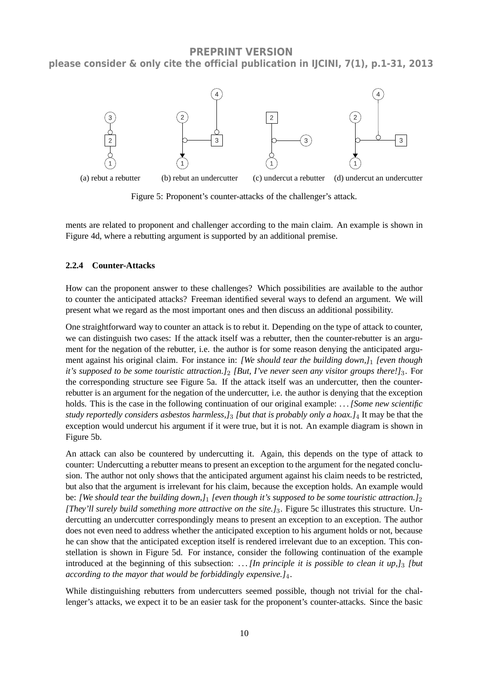**PREPRINT VERSION please consider & only cite the official publication in IJCINI, 7(1), p.1-31, 2013**



Figure 5: Proponent's counter-attacks of the challenger's attack.

ments are related to proponent and challenger according to the main claim. An example is shown in Figure 4d, where a rebutting argument is supported by an additional premise.

#### **2.2.4 Counter-Attacks**

How can the proponent answer to these challenges? Which possibilities are available to the author to counter the anticipated attacks? Freeman identified several ways to defend an argument. We will present what we regard as the most important ones and then discuss an additional possibility.

One straightforward way to counter an attack is to rebut it. Depending on the type of attack to counter, we can distinguish two cases: If the attack itself was a rebutter, then the counter-rebutter is an argument for the negation of the rebutter, i.e. the author is for some reason denying the anticipated argument against his original claim. For instance in: *[We should tear the building down,]*1 *[even though it's supposed to be some touristic attraction.]*2 *[But, I've never seen any visitor groups there!]*3. For the corresponding structure see Figure 5a. If the attack itself was an undercutter, then the counterrebutter is an argument for the negation of the undercutter, i.e. the author is denying that the exception holds. This is the case in the following continuation of our original example: *. . . [Some new scientific study reportedly considers asbestos harmless,]*3 *[but that is probably only a hoax.]*4 It may be that the exception would undercut his argument if it were true, but it is not. An example diagram is shown in Figure 5b.

An attack can also be countered by undercutting it. Again, this depends on the type of attack to counter: Undercutting a rebutter means to present an exception to the argument for the negated conclusion. The author not only shows that the anticipated argument against his claim needs to be restricted, but also that the argument is irrelevant for his claim, because the exception holds. An example would be: *[We should tear the building down,]*1 *[even though it's supposed to be some touristic attraction.]*2 *[They'll surely build something more attractive on the site.]*3. Figure 5c illustrates this structure. Undercutting an undercutter correspondingly means to present an exception to an exception. The author does not even need to address whether the anticipated exception to his argument holds or not, because he can show that the anticipated exception itself is rendered irrelevant due to an exception. This constellation is shown in Figure 5d. For instance, consider the following continuation of the example introduced at the beginning of this subsection: *. . . [In principle it is possible to clean it up,]*3 *[but according to the mayor that would be forbiddingly expensive.]*4.

While distinguishing rebutters from undercutters seemed possible, though not trivial for the challenger's attacks, we expect it to be an easier task for the proponent's counter-attacks. Since the basic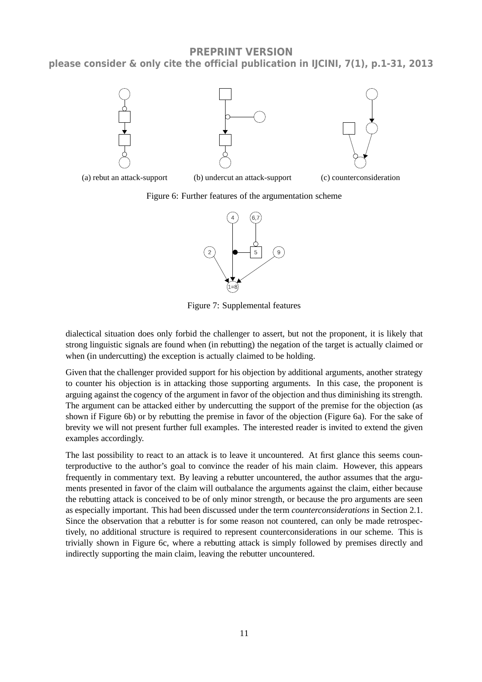**PREPRINT VERSION please consider & only cite the official publication in IJCINI, 7(1), p.1-31, 2013**







Figure 7: Supplemental features

dialectical situation does only forbid the challenger to assert, but not the proponent, it is likely that strong linguistic signals are found when (in rebutting) the negation of the target is actually claimed or when (in undercutting) the exception is actually claimed to be holding.

Given that the challenger provided support for his objection by additional arguments, another strategy to counter his objection is in attacking those supporting arguments. In this case, the proponent is arguing against the cogency of the argument in favor of the objection and thus diminishing its strength. The argument can be attacked either by undercutting the support of the premise for the objection (as shown if Figure 6b) or by rebutting the premise in favor of the objection (Figure 6a). For the sake of brevity we will not present further full examples. The interested reader is invited to extend the given examples accordingly.

The last possibility to react to an attack is to leave it uncountered. At first glance this seems counterproductive to the author's goal to convince the reader of his main claim. However, this appears frequently in commentary text. By leaving a rebutter uncountered, the author assumes that the arguments presented in favor of the claim will outbalance the arguments against the claim, either because the rebutting attack is conceived to be of only minor strength, or because the pro arguments are seen as especially important. This had been discussed under the term *counterconsiderations* in Section 2.1. Since the observation that a rebutter is for some reason not countered, can only be made retrospectively, no additional structure is required to represent counterconsiderations in our scheme. This is trivially shown in Figure 6c, where a rebutting attack is simply followed by premises directly and indirectly supporting the main claim, leaving the rebutter uncountered.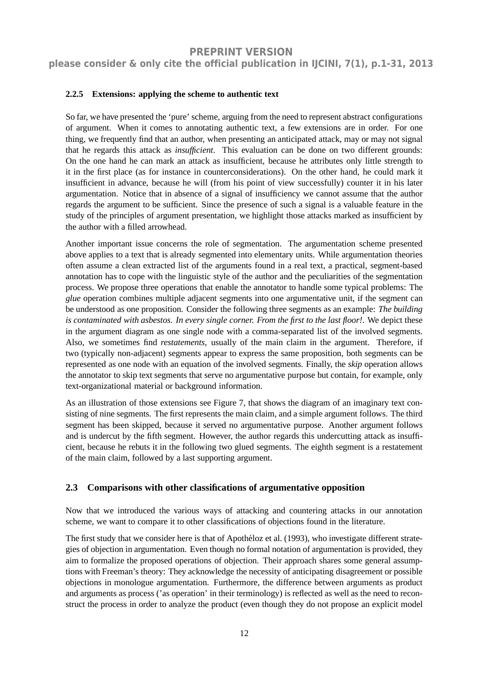**please consider & only cite the official publication in IJCINI, 7(1), p.1-31, 2013**

#### **2.2.5 Extensions: applying the scheme to authentic text**

So far, we have presented the 'pure' scheme, arguing from the need to represent abstract configurations of argument. When it comes to annotating authentic text, a few extensions are in order. For one thing, we frequently find that an author, when presenting an anticipated attack, may or may not signal that he regards this attack as *insufficient*. This evaluation can be done on two different grounds: On the one hand he can mark an attack as insufficient, because he attributes only little strength to it in the first place (as for instance in counterconsiderations). On the other hand, he could mark it insufficient in advance, because he will (from his point of view successfully) counter it in his later argumentation. Notice that in absence of a signal of insufficiency we cannot assume that the author regards the argument to be sufficient. Since the presence of such a signal is a valuable feature in the study of the principles of argument presentation, we highlight those attacks marked as insufficient by the author with a filled arrowhead.

Another important issue concerns the role of segmentation. The argumentation scheme presented above applies to a text that is already segmented into elementary units. While argumentation theories often assume a clean extracted list of the arguments found in a real text, a practical, segment-based annotation has to cope with the linguistic style of the author and the peculiarities of the segmentation process. We propose three operations that enable the annotator to handle some typical problems: The *glue* operation combines multiple adjacent segments into one argumentative unit, if the segment can be understood as one proposition. Consider the following three segments as an example: *The building is contaminated with asbestos. In every single corner. From the first to the last floor!*. We depict these in the argument diagram as one single node with a comma-separated list of the involved segments. Also, we sometimes find *restatements*, usually of the main claim in the argument. Therefore, if two (typically non-adjacent) segments appear to express the same proposition, both segments can be represented as one node with an equation of the involved segments. Finally, the *skip* operation allows the annotator to skip text segments that serve no argumentative purpose but contain, for example, only text-organizational material or background information.

As an illustration of those extensions see Figure 7, that shows the diagram of an imaginary text consisting of nine segments. The first represents the main claim, and a simple argument follows. The third segment has been skipped, because it served no argumentative purpose. Another argument follows and is undercut by the fifth segment. However, the author regards this undercutting attack as insufficient, because he rebuts it in the following two glued segments. The eighth segment is a restatement of the main claim, followed by a last supporting argument.

#### **2.3 Comparisons with other classifications of argumentative opposition**

Now that we introduced the various ways of attacking and countering attacks in our annotation scheme, we want to compare it to other classifications of objections found in the literature.

The first study that we consider here is that of Apothéloz et al. (1993), who investigate different strategies of objection in argumentation. Even though no formal notation of argumentation is provided, they aim to formalize the proposed operations of objection. Their approach shares some general assumptions with Freeman's theory: They acknowledge the necessity of anticipating disagreement or possible objections in monologue argumentation. Furthermore, the difference between arguments as product and arguments as process ('as operation' in their terminology) is reflected as well as the need to reconstruct the process in order to analyze the product (even though they do not propose an explicit model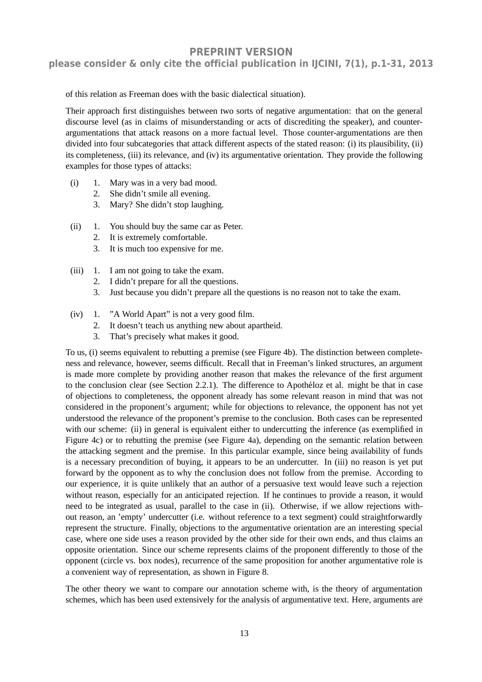**please consider & only cite the official publication in IJCINI, 7(1), p.1-31, 2013**

of this relation as Freeman does with the basic dialectical situation).

Their approach first distinguishes between two sorts of negative argumentation: that on the general discourse level (as in claims of misunderstanding or acts of discrediting the speaker), and counterargumentations that attack reasons on a more factual level. Those counter-argumentations are then divided into four subcategories that attack different aspects of the stated reason: (i) its plausibility, (ii) its completeness, (iii) its relevance, and (iv) its argumentative orientation. They provide the following examples for those types of attacks:

- (i) 1. Mary was in a very bad mood.
	- 2. She didn't smile all evening.
	- 3. Mary? She didn't stop laughing.
- (ii) 1. You should buy the same car as Peter.
	- 2. It is extremely comfortable.
	- 3. It is much too expensive for me.
- (iii) 1. I am not going to take the exam.
	- 2. I didn't prepare for all the questions.
	- 3. Just because you didn't prepare all the questions is no reason not to take the exam.
- (iv) 1. "A World Apart" is not a very good film.
	- 2. It doesn't teach us anything new about apartheid.
	- 3. That's precisely what makes it good.

To us, (i) seems equivalent to rebutting a premise (see Figure 4b). The distinction between completeness and relevance, however, seems difficult. Recall that in Freeman's linked structures, an argument is made more complete by providing another reason that makes the relevance of the first argument to the conclusion clear (see Section 2.2.1). The difference to Apothéloz et al. might be that in case of objections to completeness, the opponent already has some relevant reason in mind that was not considered in the proponent's argument; while for objections to relevance, the opponent has not yet understood the relevance of the proponent's premise to the conclusion. Both cases can be represented with our scheme: (ii) in general is equivalent either to undercutting the inference (as exemplified in Figure 4c) or to rebutting the premise (see Figure 4a), depending on the semantic relation between the attacking segment and the premise. In this particular example, since being availability of funds is a necessary precondition of buying, it appears to be an undercutter. In (iii) no reason is yet put forward by the opponent as to why the conclusion does not follow from the premise. According to our experience, it is quite unlikely that an author of a persuasive text would leave such a rejection without reason, especially for an anticipated rejection. If he continues to provide a reason, it would need to be integrated as usual, parallel to the case in (ii). Otherwise, if we allow rejections without reason, an 'empty' undercutter (i.e. without reference to a text segment) could straightforwardly represent the structure. Finally, objections to the argumentative orientation are an interesting special case, where one side uses a reason provided by the other side for their own ends, and thus claims an opposite orientation. Since our scheme represents claims of the proponent differently to those of the opponent (circle vs. box nodes), recurrence of the same proposition for another argumentative role is a convenient way of representation, as shown in Figure 8.

The other theory we want to compare our annotation scheme with, is the theory of argumentation schemes, which has been used extensively for the analysis of argumentative text. Here, arguments are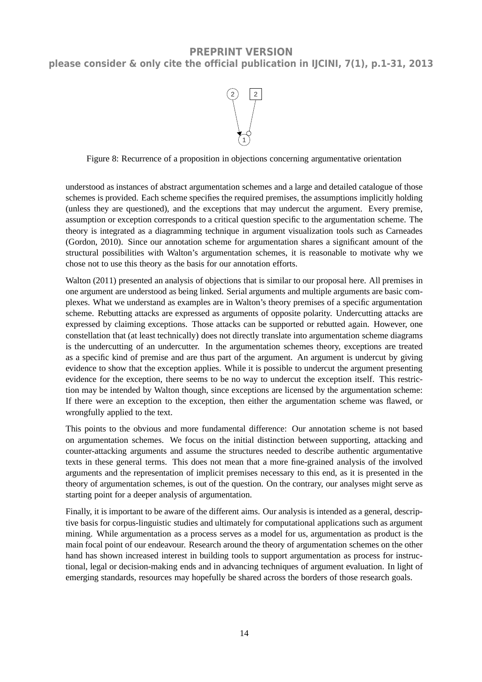

Figure 8: Recurrence of a proposition in objections concerning argumentative orientation

understood as instances of abstract argumentation schemes and a large and detailed catalogue of those schemes is provided. Each scheme specifies the required premises, the assumptions implicitly holding (unless they are questioned), and the exceptions that may undercut the argument. Every premise, assumption or exception corresponds to a critical question specific to the argumentation scheme. The theory is integrated as a diagramming technique in argument visualization tools such as Carneades (Gordon, 2010). Since our annotation scheme for argumentation shares a significant amount of the structural possibilities with Walton's argumentation schemes, it is reasonable to motivate why we chose not to use this theory as the basis for our annotation efforts.

Walton (2011) presented an analysis of objections that is similar to our proposal here. All premises in one argument are understood as being linked. Serial arguments and multiple arguments are basic complexes. What we understand as examples are in Walton's theory premises of a specific argumentation scheme. Rebutting attacks are expressed as arguments of opposite polarity. Undercutting attacks are expressed by claiming exceptions. Those attacks can be supported or rebutted again. However, one constellation that (at least technically) does not directly translate into argumentation scheme diagrams is the undercutting of an undercutter. In the argumentation schemes theory, exceptions are treated as a specific kind of premise and are thus part of the argument. An argument is undercut by giving evidence to show that the exception applies. While it is possible to undercut the argument presenting evidence for the exception, there seems to be no way to undercut the exception itself. This restriction may be intended by Walton though, since exceptions are licensed by the argumentation scheme: If there were an exception to the exception, then either the argumentation scheme was flawed, or wrongfully applied to the text.

This points to the obvious and more fundamental difference: Our annotation scheme is not based on argumentation schemes. We focus on the initial distinction between supporting, attacking and counter-attacking arguments and assume the structures needed to describe authentic argumentative texts in these general terms. This does not mean that a more fine-grained analysis of the involved arguments and the representation of implicit premises necessary to this end, as it is presented in the theory of argumentation schemes, is out of the question. On the contrary, our analyses might serve as starting point for a deeper analysis of argumentation.

Finally, it is important to be aware of the different aims. Our analysis is intended as a general, descriptive basis for corpus-linguistic studies and ultimately for computational applications such as argument mining. While argumentation as a process serves as a model for us, argumentation as product is the main focal point of our endeavour. Research around the theory of argumentation schemes on the other hand has shown increased interest in building tools to support argumentation as process for instructional, legal or decision-making ends and in advancing techniques of argument evaluation. In light of emerging standards, resources may hopefully be shared across the borders of those research goals.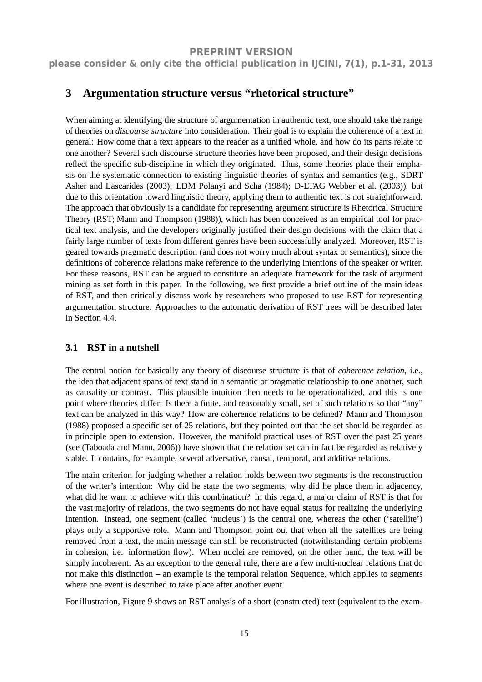**please consider & only cite the official publication in IJCINI, 7(1), p.1-31, 2013**

# **3 Argumentation structure versus "rhetorical structure"**

When aiming at identifying the structure of argumentation in authentic text, one should take the range of theories on *discourse structure* into consideration. Their goal is to explain the coherence of a text in general: How come that a text appears to the reader as a unified whole, and how do its parts relate to one another? Several such discourse structure theories have been proposed, and their design decisions reflect the specific sub-discipline in which they originated. Thus, some theories place their emphasis on the systematic connection to existing linguistic theories of syntax and semantics (e.g., SDRT Asher and Lascarides (2003); LDM Polanyi and Scha (1984); D-LTAG Webber et al. (2003)), but due to this orientation toward linguistic theory, applying them to authentic text is not straightforward. The approach that obviously is a candidate for representing argument structure is Rhetorical Structure Theory (RST; Mann and Thompson (1988)), which has been conceived as an empirical tool for practical text analysis, and the developers originally justified their design decisions with the claim that a fairly large number of texts from different genres have been successfully analyzed. Moreover, RST is geared towards pragmatic description (and does not worry much about syntax or semantics), since the definitions of coherence relations make reference to the underlying intentions of the speaker or writer. For these reasons, RST can be argued to constitute an adequate framework for the task of argument mining as set forth in this paper. In the following, we first provide a brief outline of the main ideas of RST, and then critically discuss work by researchers who proposed to use RST for representing argumentation structure. Approaches to the automatic derivation of RST trees will be described later in Section 4.4.

#### **3.1 RST in a nutshell**

The central notion for basically any theory of discourse structure is that of *coherence relation*, i.e., the idea that adjacent spans of text stand in a semantic or pragmatic relationship to one another, such as causality or contrast. This plausible intuition then needs to be operationalized, and this is one point where theories differ: Is there a finite, and reasonably small, set of such relations so that "any" text can be analyzed in this way? How are coherence relations to be defined? Mann and Thompson (1988) proposed a specific set of 25 relations, but they pointed out that the set should be regarded as in principle open to extension. However, the manifold practical uses of RST over the past 25 years (see (Taboada and Mann, 2006)) have shown that the relation set can in fact be regarded as relatively stable. It contains, for example, several adversative, causal, temporal, and additive relations.

The main criterion for judging whether a relation holds between two segments is the reconstruction of the writer's intention: Why did he state the two segments, why did he place them in adjacency, what did he want to achieve with this combination? In this regard, a major claim of RST is that for the vast majority of relations, the two segments do not have equal status for realizing the underlying intention. Instead, one segment (called 'nucleus') is the central one, whereas the other ('satellite') plays only a supportive role. Mann and Thompson point out that when all the satellites are being removed from a text, the main message can still be reconstructed (notwithstanding certain problems in cohesion, i.e. information flow). When nuclei are removed, on the other hand, the text will be simply incoherent. As an exception to the general rule, there are a few multi-nuclear relations that do not make this distinction – an example is the temporal relation Sequence, which applies to segments where one event is described to take place after another event.

For illustration, Figure 9 shows an RST analysis of a short (constructed) text (equivalent to the exam-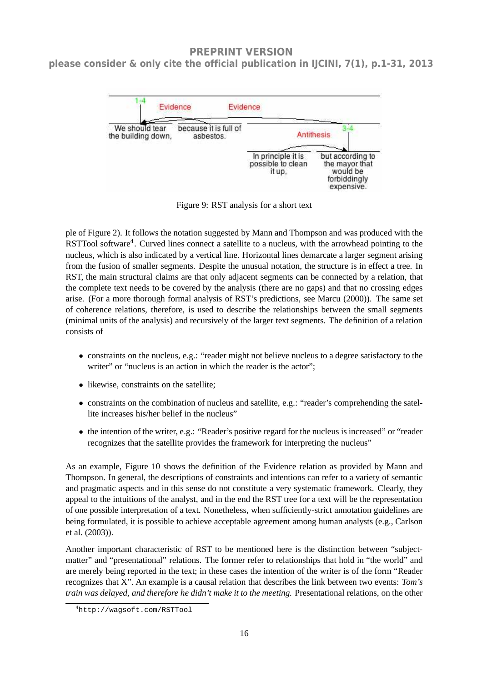# **please consider & only cite the official publication in IJCINI, 7(1), p.1-31, 2013**



Figure 9: RST analysis for a short text

ple of Figure 2). It follows the notation suggested by Mann and Thompson and was produced with the RSTTool software<sup>4</sup>. Curved lines connect a satellite to a nucleus, with the arrowhead pointing to the nucleus, which is also indicated by a vertical line. Horizontal lines demarcate a larger segment arising from the fusion of smaller segments. Despite the unusual notation, the structure is in effect a tree. In RST, the main structural claims are that only adjacent segments can be connected by a relation, that the complete text needs to be covered by the analysis (there are no gaps) and that no crossing edges arise. (For a more thorough formal analysis of RST's predictions, see Marcu (2000)). The same set of coherence relations, therefore, is used to describe the relationships between the small segments (minimal units of the analysis) and recursively of the larger text segments. The definition of a relation consists of

- constraints on the nucleus, e.g.: "reader might not believe nucleus to a degree satisfactory to the writer" or "nucleus is an action in which the reader is the actor";
- likewise, constraints on the satellite;
- constraints on the combination of nucleus and satellite, e.g.: "reader's comprehending the satellite increases his/her belief in the nucleus"
- the intention of the writer, e.g.: "Reader's positive regard for the nucleus is increased" or "reader recognizes that the satellite provides the framework for interpreting the nucleus"

As an example, Figure 10 shows the definition of the Evidence relation as provided by Mann and Thompson. In general, the descriptions of constraints and intentions can refer to a variety of semantic and pragmatic aspects and in this sense do not constitute a very systematic framework. Clearly, they appeal to the intuitions of the analyst, and in the end the RST tree for a text will be the representation of one possible interpretation of a text. Nonetheless, when sufficiently-strict annotation guidelines are being formulated, it is possible to achieve acceptable agreement among human analysts (e.g., Carlson et al. (2003)).

Another important characteristic of RST to be mentioned here is the distinction between "subjectmatter" and "presentational" relations. The former refer to relationships that hold in "the world" and are merely being reported in the text; in these cases the intention of the writer is of the form "Reader recognizes that X". An example is a causal relation that describes the link between two events: *Tom's train was delayed, and therefore he didn't make it to the meeting.* Presentational relations, on the other

<sup>4</sup>http://wagsoft.com/RSTTool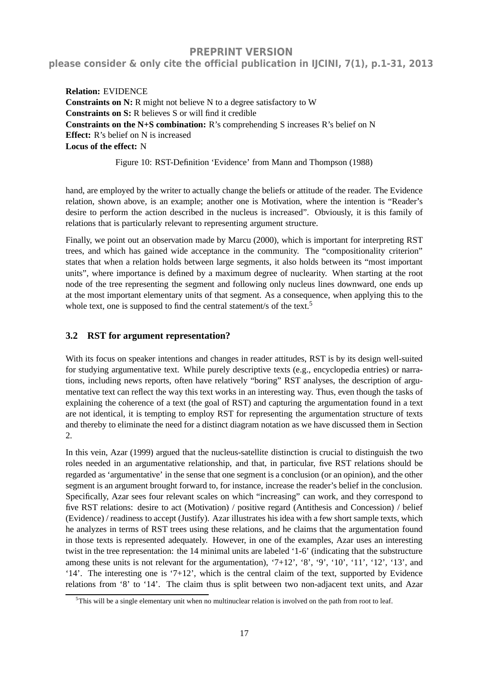**please consider & only cite the official publication in IJCINI, 7(1), p.1-31, 2013**

**Relation:** EVIDENCE **Constraints on N:** R might not believe N to a degree satisfactory to W **Constraints on S:** R believes S or will find it credible **Constraints on the N+S combination:** R's comprehending S increases R's belief on N **Effect:** R's belief on N is increased **Locus of the effect:** N

Figure 10: RST-Definition 'Evidence' from Mann and Thompson (1988)

hand, are employed by the writer to actually change the beliefs or attitude of the reader. The Evidence relation, shown above, is an example; another one is Motivation, where the intention is "Reader's desire to perform the action described in the nucleus is increased". Obviously, it is this family of relations that is particularly relevant to representing argument structure.

Finally, we point out an observation made by Marcu (2000), which is important for interpreting RST trees, and which has gained wide acceptance in the community. The "compositionality criterion" states that when a relation holds between large segments, it also holds between its "most important units", where importance is defined by a maximum degree of nuclearity. When starting at the root node of the tree representing the segment and following only nucleus lines downward, one ends up at the most important elementary units of that segment. As a consequence, when applying this to the whole text, one is supposed to find the central statement/s of the text.<sup>5</sup>

#### **3.2 RST for argument representation?**

With its focus on speaker intentions and changes in reader attitudes, RST is by its design well-suited for studying argumentative text. While purely descriptive texts (e.g., encyclopedia entries) or narrations, including news reports, often have relatively "boring" RST analyses, the description of argumentative text can reflect the way this text works in an interesting way. Thus, even though the tasks of explaining the coherence of a text (the goal of RST) and capturing the argumentation found in a text are not identical, it is tempting to employ RST for representing the argumentation structure of texts and thereby to eliminate the need for a distinct diagram notation as we have discussed them in Section 2.

In this vein, Azar (1999) argued that the nucleus-satellite distinction is crucial to distinguish the two roles needed in an argumentative relationship, and that, in particular, five RST relations should be regarded as 'argumentative' in the sense that one segment is a conclusion (or an opinion), and the other segment is an argument brought forward to, for instance, increase the reader's belief in the conclusion. Specifically, Azar sees four relevant scales on which "increasing" can work, and they correspond to five RST relations: desire to act (Motivation) / positive regard (Antithesis and Concession) / belief (Evidence) / readiness to accept (Justify). Azar illustrates his idea with a few short sample texts, which he analyzes in terms of RST trees using these relations, and he claims that the argumentation found in those texts is represented adequately. However, in one of the examples, Azar uses an interesting twist in the tree representation: the 14 minimal units are labeled '1-6' (indicating that the substructure among these units is not relevant for the argumentation), '7+12', '8', '9', '10', '11', '12', '13', and '14'. The interesting one is '7+12', which is the central claim of the text, supported by Evidence relations from '8' to '14'. The claim thus is split between two non-adjacent text units, and Azar

<sup>5</sup>This will be a single elementary unit when no multinuclear relation is involved on the path from root to leaf.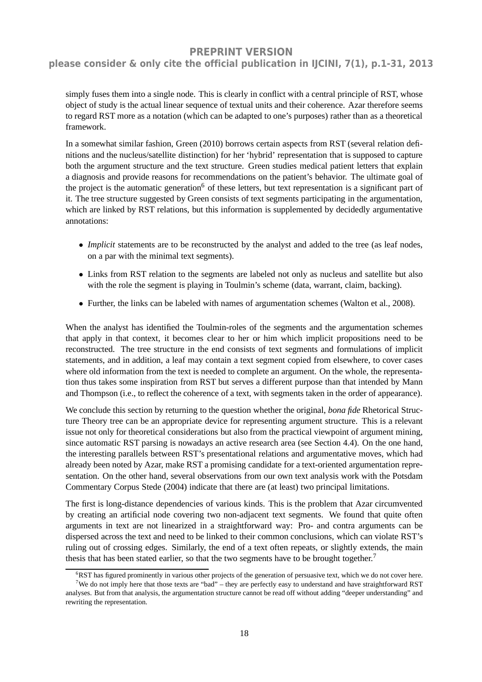### **please consider & only cite the official publication in IJCINI, 7(1), p.1-31, 2013**

simply fuses them into a single node. This is clearly in conflict with a central principle of RST, whose object of study is the actual linear sequence of textual units and their coherence. Azar therefore seems to regard RST more as a notation (which can be adapted to one's purposes) rather than as a theoretical framework.

In a somewhat similar fashion, Green (2010) borrows certain aspects from RST (several relation definitions and the nucleus/satellite distinction) for her 'hybrid' representation that is supposed to capture both the argument structure and the text structure. Green studies medical patient letters that explain a diagnosis and provide reasons for recommendations on the patient's behavior. The ultimate goal of the project is the automatic generation<sup>6</sup> of these letters, but text representation is a significant part of it. The tree structure suggested by Green consists of text segments participating in the argumentation, which are linked by RST relations, but this information is supplemented by decidedly argumentative annotations:

- *Implicit* statements are to be reconstructed by the analyst and added to the tree (as leaf nodes, on a par with the minimal text segments).
- Links from RST relation to the segments are labeled not only as nucleus and satellite but also with the role the segment is playing in Toulmin's scheme (data, warrant, claim, backing).
- Further, the links can be labeled with names of argumentation schemes (Walton et al., 2008).

When the analyst has identified the Toulmin-roles of the segments and the argumentation schemes that apply in that context, it becomes clear to her or him which implicit propositions need to be reconstructed. The tree structure in the end consists of text segments and formulations of implicit statements, and in addition, a leaf may contain a text segment copied from elsewhere, to cover cases where old information from the text is needed to complete an argument. On the whole, the representation thus takes some inspiration from RST but serves a different purpose than that intended by Mann and Thompson (i.e., to reflect the coherence of a text, with segments taken in the order of appearance).

We conclude this section by returning to the question whether the original, *bona fide* Rhetorical Structure Theory tree can be an appropriate device for representing argument structure. This is a relevant issue not only for theoretical considerations but also from the practical viewpoint of argument mining, since automatic RST parsing is nowadays an active research area (see Section 4.4). On the one hand, the interesting parallels between RST's presentational relations and argumentative moves, which had already been noted by Azar, make RST a promising candidate for a text-oriented argumentation representation. On the other hand, several observations from our own text analysis work with the Potsdam Commentary Corpus Stede (2004) indicate that there are (at least) two principal limitations.

The first is long-distance dependencies of various kinds. This is the problem that Azar circumvented by creating an artificial node covering two non-adjacent text segments. We found that quite often arguments in text are not linearized in a straightforward way: Pro- and contra arguments can be dispersed across the text and need to be linked to their common conclusions, which can violate RST's ruling out of crossing edges. Similarly, the end of a text often repeats, or slightly extends, the main thesis that has been stated earlier, so that the two segments have to be brought together.<sup>7</sup>

 $6RST$  has figured prominently in various other projects of the generation of persuasive text, which we do not cover here. <sup>7</sup>We do not imply here that those texts are "bad" – they are perfectly easy to understand and have straightforward RST

analyses. But from that analysis, the argumentation structure cannot be read off without adding "deeper understanding" and rewriting the representation.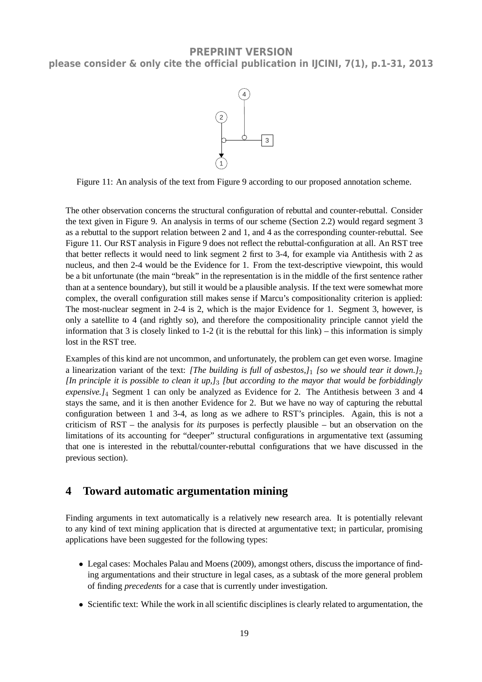

Figure 11: An analysis of the text from Figure 9 according to our proposed annotation scheme.

The other observation concerns the structural configuration of rebuttal and counter-rebuttal. Consider the text given in Figure 9. An analysis in terms of our scheme (Section 2.2) would regard segment 3 as a rebuttal to the support relation between 2 and 1, and 4 as the corresponding counter-rebuttal. See Figure 11. Our RST analysis in Figure 9 does not reflect the rebuttal-configuration at all. An RST tree that better reflects it would need to link segment 2 first to 3-4, for example via Antithesis with 2 as nucleus, and then 2-4 would be the Evidence for 1. From the text-descriptive viewpoint, this would be a bit unfortunate (the main "break" in the representation is in the middle of the first sentence rather than at a sentence boundary), but still it would be a plausible analysis. If the text were somewhat more complex, the overall configuration still makes sense if Marcu's compositionality criterion is applied: The most-nuclear segment in 2-4 is 2, which is the major Evidence for 1. Segment 3, however, is only a satellite to 4 (and rightly so), and therefore the compositionality principle cannot yield the information that 3 is closely linked to 1-2 (it is the rebuttal for this link) – this information is simply lost in the RST tree.

Examples of this kind are not uncommon, and unfortunately, the problem can get even worse. Imagine a linearization variant of the text: *[The building is full of asbestos,]*1 *[so we should tear it down.]*2 *[In principle it is possible to clean it up,]*3 *[but according to the mayor that would be forbiddingly expensive.]*4 Segment 1 can only be analyzed as Evidence for 2. The Antithesis between 3 and 4 stays the same, and it is then another Evidence for 2. But we have no way of capturing the rebuttal configuration between 1 and 3-4, as long as we adhere to RST's principles. Again, this is not a criticism of RST – the analysis for *its* purposes is perfectly plausible – but an observation on the limitations of its accounting for "deeper" structural configurations in argumentative text (assuming that one is interested in the rebuttal/counter-rebuttal configurations that we have discussed in the previous section).

# **4 Toward automatic argumentation mining**

Finding arguments in text automatically is a relatively new research area. It is potentially relevant to any kind of text mining application that is directed at argumentative text; in particular, promising applications have been suggested for the following types:

- Legal cases: Mochales Palau and Moens (2009), amongst others, discuss the importance of finding argumentations and their structure in legal cases, as a subtask of the more general problem of finding *precedents* for a case that is currently under investigation.
- Scientific text: While the work in all scientific disciplines is clearly related to argumentation, the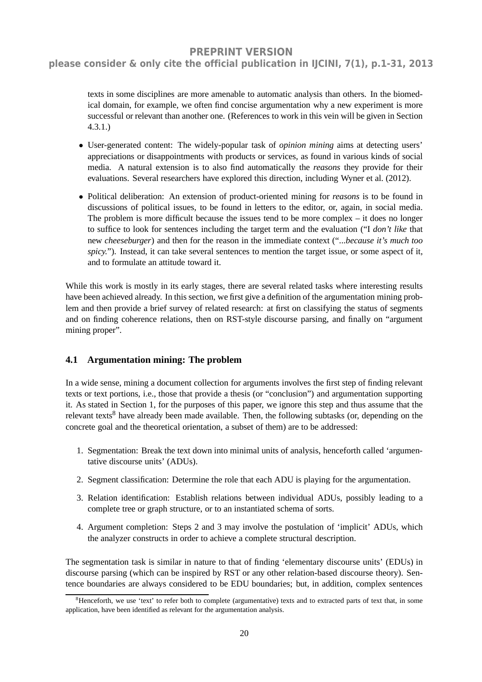# **please consider & only cite the official publication in IJCINI, 7(1), p.1-31, 2013**

texts in some disciplines are more amenable to automatic analysis than others. In the biomedical domain, for example, we often find concise argumentation why a new experiment is more successful or relevant than another one. (References to work in this vein will be given in Section 4.3.1.)

- User-generated content: The widely-popular task of *opinion mining* aims at detecting users' appreciations or disappointments with products or services, as found in various kinds of social media. A natural extension is to also find automatically the *reasons* they provide for their evaluations. Several researchers have explored this direction, including Wyner et al. (2012).
- Political deliberation: An extension of product-oriented mining for *reasons* is to be found in discussions of political issues, to be found in letters to the editor, or, again, in social media. The problem is more difficult because the issues tend to be more complex – it does no longer to suffice to look for sentences including the target term and the evaluation ("I *don't like* that new *cheeseburger*) and then for the reason in the immediate context ("...*because it's much too spicy.*"). Instead, it can take several sentences to mention the target issue, or some aspect of it, and to formulate an attitude toward it.

While this work is mostly in its early stages, there are several related tasks where interesting results have been achieved already. In this section, we first give a definition of the argumentation mining problem and then provide a brief survey of related research: at first on classifying the status of segments and on finding coherence relations, then on RST-style discourse parsing, and finally on "argument mining proper".

#### **4.1 Argumentation mining: The problem**

In a wide sense, mining a document collection for arguments involves the first step of finding relevant texts or text portions, i.e., those that provide a thesis (or "conclusion") and argumentation supporting it. As stated in Section 1, for the purposes of this paper, we ignore this step and thus assume that the relevant texts<sup>8</sup> have already been made available. Then, the following subtasks (or, depending on the concrete goal and the theoretical orientation, a subset of them) are to be addressed:

- 1. Segmentation: Break the text down into minimal units of analysis, henceforth called 'argumentative discourse units' (ADUs).
- 2. Segment classification: Determine the role that each ADU is playing for the argumentation.
- 3. Relation identification: Establish relations between individual ADUs, possibly leading to a complete tree or graph structure, or to an instantiated schema of sorts.
- 4. Argument completion: Steps 2 and 3 may involve the postulation of 'implicit' ADUs, which the analyzer constructs in order to achieve a complete structural description.

The segmentation task is similar in nature to that of finding 'elementary discourse units' (EDUs) in discourse parsing (which can be inspired by RST or any other relation-based discourse theory). Sentence boundaries are always considered to be EDU boundaries; but, in addition, complex sentences

<sup>&</sup>lt;sup>8</sup>Henceforth, we use 'text' to refer both to complete (argumentative) texts and to extracted parts of text that, in some application, have been identified as relevant for the argumentation analysis.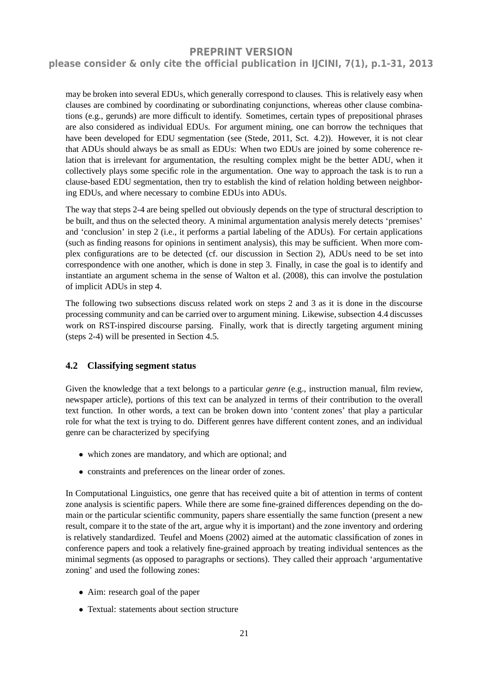### **please consider & only cite the official publication in IJCINI, 7(1), p.1-31, 2013**

may be broken into several EDUs, which generally correspond to clauses. This is relatively easy when clauses are combined by coordinating or subordinating conjunctions, whereas other clause combinations (e.g., gerunds) are more difficult to identify. Sometimes, certain types of prepositional phrases are also considered as individual EDUs. For argument mining, one can borrow the techniques that have been developed for EDU segmentation (see (Stede, 2011, Sct. 4.2)). However, it is not clear that ADUs should always be as small as EDUs: When two EDUs are joined by some coherence relation that is irrelevant for argumentation, the resulting complex might be the better ADU, when it collectively plays some specific role in the argumentation. One way to approach the task is to run a clause-based EDU segmentation, then try to establish the kind of relation holding between neighboring EDUs, and where necessary to combine EDUs into ADUs.

The way that steps 2-4 are being spelled out obviously depends on the type of structural description to be built, and thus on the selected theory. A minimal argumentation analysis merely detects 'premises' and 'conclusion' in step 2 (i.e., it performs a partial labeling of the ADUs). For certain applications (such as finding reasons for opinions in sentiment analysis), this may be sufficient. When more complex configurations are to be detected (cf. our discussion in Section 2), ADUs need to be set into correspondence with one another, which is done in step 3. Finally, in case the goal is to identify and instantiate an argument schema in the sense of Walton et al. (2008), this can involve the postulation of implicit ADUs in step 4.

The following two subsections discuss related work on steps 2 and 3 as it is done in the discourse processing community and can be carried over to argument mining. Likewise, subsection 4.4 discusses work on RST-inspired discourse parsing. Finally, work that is directly targeting argument mining (steps 2-4) will be presented in Section 4.5.

#### **4.2 Classifying segment status**

Given the knowledge that a text belongs to a particular *genre* (e.g., instruction manual, film review, newspaper article), portions of this text can be analyzed in terms of their contribution to the overall text function. In other words, a text can be broken down into 'content zones' that play a particular role for what the text is trying to do. Different genres have different content zones, and an individual genre can be characterized by specifying

- which zones are mandatory, and which are optional; and
- constraints and preferences on the linear order of zones.

In Computational Linguistics, one genre that has received quite a bit of attention in terms of content zone analysis is scientific papers. While there are some fine-grained differences depending on the domain or the particular scientific community, papers share essentially the same function (present a new result, compare it to the state of the art, argue why it is important) and the zone inventory and ordering is relatively standardized. Teufel and Moens (2002) aimed at the automatic classification of zones in conference papers and took a relatively fine-grained approach by treating individual sentences as the minimal segments (as opposed to paragraphs or sections). They called their approach 'argumentative zoning' and used the following zones:

- Aim: research goal of the paper
- Textual: statements about section structure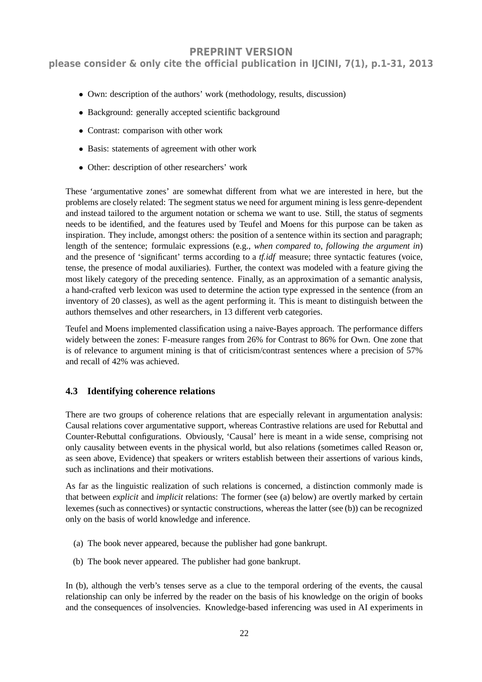**please consider & only cite the official publication in IJCINI, 7(1), p.1-31, 2013**

- Own: description of the authors' work (methodology, results, discussion)
- Background: generally accepted scientific background
- Contrast: comparison with other work
- Basis: statements of agreement with other work
- Other: description of other researchers' work

These 'argumentative zones' are somewhat different from what we are interested in here, but the problems are closely related: The segment status we need for argument mining is less genre-dependent and instead tailored to the argument notation or schema we want to use. Still, the status of segments needs to be identified, and the features used by Teufel and Moens for this purpose can be taken as inspiration. They include, amongst others: the position of a sentence within its section and paragraph; length of the sentence; formulaic expressions (e.g., *when compared to*, *following the argument in*) and the presence of 'significant' terms according to a *tf.idf* measure; three syntactic features (voice, tense, the presence of modal auxiliaries). Further, the context was modeled with a feature giving the most likely category of the preceding sentence. Finally, as an approximation of a semantic analysis, a hand-crafted verb lexicon was used to determine the action type expressed in the sentence (from an inventory of 20 classes), as well as the agent performing it. This is meant to distinguish between the authors themselves and other researchers, in 13 different verb categories.

Teufel and Moens implemented classification using a naive-Bayes approach. The performance differs widely between the zones: F-measure ranges from 26% for Contrast to 86% for Own. One zone that is of relevance to argument mining is that of criticism/contrast sentences where a precision of 57% and recall of 42% was achieved.

### **4.3 Identifying coherence relations**

There are two groups of coherence relations that are especially relevant in argumentation analysis: Causal relations cover argumentative support, whereas Contrastive relations are used for Rebuttal and Counter-Rebuttal configurations. Obviously, 'Causal' here is meant in a wide sense, comprising not only causality between events in the physical world, but also relations (sometimes called Reason or, as seen above, Evidence) that speakers or writers establish between their assertions of various kinds, such as inclinations and their motivations.

As far as the linguistic realization of such relations is concerned, a distinction commonly made is that between *explicit* and *implicit* relations: The former (see (a) below) are overtly marked by certain lexemes (such as connectives) or syntactic constructions, whereas the latter (see (b)) can be recognized only on the basis of world knowledge and inference.

- (a) The book never appeared, because the publisher had gone bankrupt.
- (b) The book never appeared. The publisher had gone bankrupt.

In (b), although the verb's tenses serve as a clue to the temporal ordering of the events, the causal relationship can only be inferred by the reader on the basis of his knowledge on the origin of books and the consequences of insolvencies. Knowledge-based inferencing was used in AI experiments in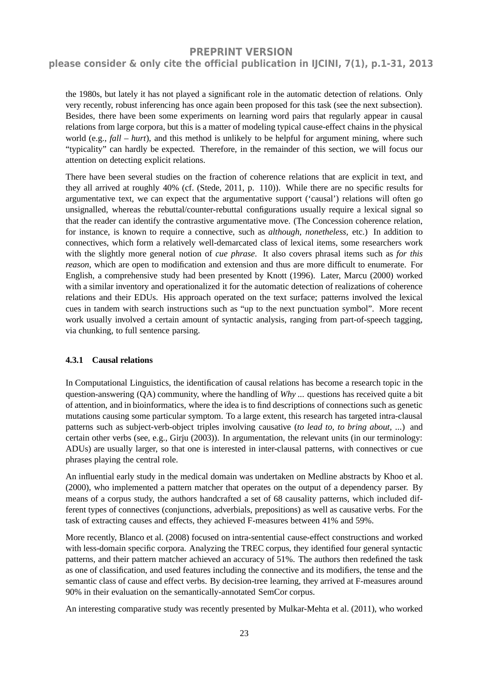### **please consider & only cite the official publication in IJCINI, 7(1), p.1-31, 2013**

the 1980s, but lately it has not played a significant role in the automatic detection of relations. Only very recently, robust inferencing has once again been proposed for this task (see the next subsection). Besides, there have been some experiments on learning word pairs that regularly appear in causal relations from large corpora, but this is a matter of modeling typical cause-effect chains in the physical world (e.g., *fall – hurt*), and this method is unlikely to be helpful for argument mining, where such "typicality" can hardly be expected. Therefore, in the remainder of this section, we will focus our attention on detecting explicit relations.

There have been several studies on the fraction of coherence relations that are explicit in text, and they all arrived at roughly 40% (cf. (Stede, 2011, p. 110)). While there are no specific results for argumentative text, we can expect that the argumentative support ('causal') relations will often go unsignalled, whereas the rebuttal/counter-rebuttal configurations usually require a lexical signal so that the reader can identify the contrastive argumentative move. (The Concession coherence relation, for instance, is known to require a connective, such as *although, nonetheless,* etc.) In addition to connectives, which form a relatively well-demarcated class of lexical items, some researchers work with the slightly more general notion of *cue phrase*. It also covers phrasal items such as *for this reason*, which are open to modification and extension and thus are more difficult to enumerate. For English, a comprehensive study had been presented by Knott (1996). Later, Marcu (2000) worked with a similar inventory and operationalized it for the automatic detection of realizations of coherence relations and their EDUs. His approach operated on the text surface; patterns involved the lexical cues in tandem with search instructions such as "up to the next punctuation symbol". More recent work usually involved a certain amount of syntactic analysis, ranging from part-of-speech tagging, via chunking, to full sentence parsing.

#### **4.3.1 Causal relations**

In Computational Linguistics, the identification of causal relations has become a research topic in the question-answering (QA) community, where the handling of *Why ...* questions has received quite a bit of attention, and in bioinformatics, where the idea is to find descriptions of connections such as genetic mutations causing some particular symptom. To a large extent, this research has targeted intra-clausal patterns such as subject-verb-object triples involving causative (*to lead to, to bring about, ...*) and certain other verbs (see, e.g., Girju (2003)). In argumentation, the relevant units (in our terminology: ADUs) are usually larger, so that one is interested in inter-clausal patterns, with connectives or cue phrases playing the central role.

An influential early study in the medical domain was undertaken on Medline abstracts by Khoo et al. (2000), who implemented a pattern matcher that operates on the output of a dependency parser. By means of a corpus study, the authors handcrafted a set of 68 causality patterns, which included different types of connectives (conjunctions, adverbials, prepositions) as well as causative verbs. For the task of extracting causes and effects, they achieved F-measures between 41% and 59%.

More recently, Blanco et al. (2008) focused on intra-sentential cause-effect constructions and worked with less-domain specific corpora. Analyzing the TREC corpus, they identified four general syntactic patterns, and their pattern matcher achieved an accuracy of 51%. The authors then redefined the task as one of classification, and used features including the connective and its modifiers, the tense and the semantic class of cause and effect verbs. By decision-tree learning, they arrived at F-measures around 90% in their evaluation on the semantically-annotated SemCor corpus.

An interesting comparative study was recently presented by Mulkar-Mehta et al. (2011), who worked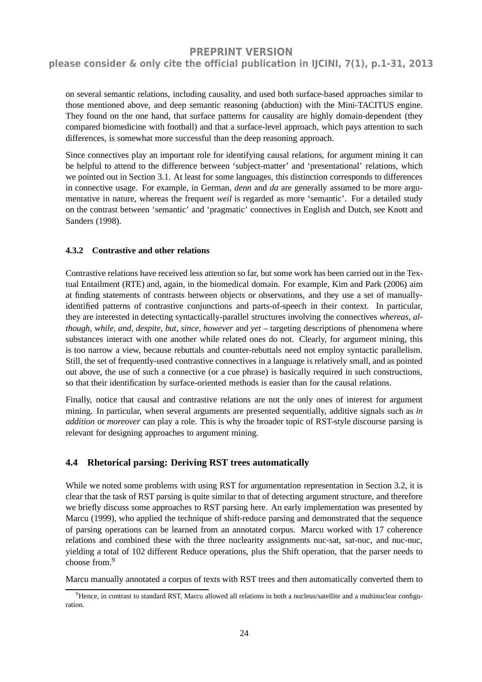### **please consider & only cite the official publication in IJCINI, 7(1), p.1-31, 2013**

on several semantic relations, including causality, and used both surface-based approaches similar to those mentioned above, and deep semantic reasoning (abduction) with the Mini-TACITUS engine. They found on the one hand, that surface patterns for causality are highly domain-dependent (they compared biomedicine with football) and that a surface-level approach, which pays attention to such differences, is somewhat more successful than the deep reasoning approach.

Since connectives play an important role for identifying causal relations, for argument mining it can be helpful to attend to the difference between 'subject-matter' and 'presentational' relations, which we pointed out in Section 3.1. At least for some languages, this distinction corresponds to differences in connective usage. For example, in German, *denn* and *da* are generally assumed to be more argumentative in nature, whereas the frequent *weil* is regarded as more 'semantic'. For a detailed study on the contrast between 'semantic' and 'pragmatic' connectives in English and Dutch, see Knott and Sanders (1998).

#### **4.3.2 Contrastive and other relations**

Contrastive relations have received less attention so far, but some work has been carried out in the Textual Entailment (RTE) and, again, in the biomedical domain. For example, Kim and Park (2006) aim at finding statements of contrasts between objects or observations, and they use a set of manuallyidentified patterns of contrastive conjunctions and parts-of-speech in their context. In particular, they are interested in detecting syntactically-parallel structures involving the connectives *whereas, although, while, and, despite, but, since, however* and *yet* – targeting descriptions of phenomena where substances interact with one another while related ones do not. Clearly, for argument mining, this is too narrow a view, because rebuttals and counter-rebuttals need not employ syntactic parallelism. Still, the set of frequently-used contrastive connectives in a language is relatively small, and as pointed out above, the use of such a connective (or a cue phrase) is basically required in such constructions, so that their identification by surface-oriented methods is easier than for the causal relations.

Finally, notice that causal and contrastive relations are not the only ones of interest for argument mining. In particular, when several arguments are presented sequentially, additive signals such as *in addition* or *moreover* can play a role. This is why the broader topic of RST-style discourse parsing is relevant for designing approaches to argument mining.

#### **4.4 Rhetorical parsing: Deriving RST trees automatically**

While we noted some problems with using RST for argumentation representation in Section 3.2, it is clear that the task of RST parsing is quite similar to that of detecting argument structure, and therefore we briefly discuss some approaches to RST parsing here. An early implementation was presented by Marcu (1999), who applied the technique of shift-reduce parsing and demonstrated that the sequence of parsing operations can be learned from an annotated corpus. Marcu worked with 17 coherence relations and combined these with the three nuclearity assignments nuc-sat, sat-nuc, and nuc-nuc, yielding a total of 102 different Reduce operations, plus the Shift operation, that the parser needs to choose from.<sup>9</sup>

Marcu manually annotated a corpus of texts with RST trees and then automatically converted them to

 $9$ Hence, in contrast to standard RST, Marcu allowed all relations in both a nucleus/satellite and a multinuclear configuration.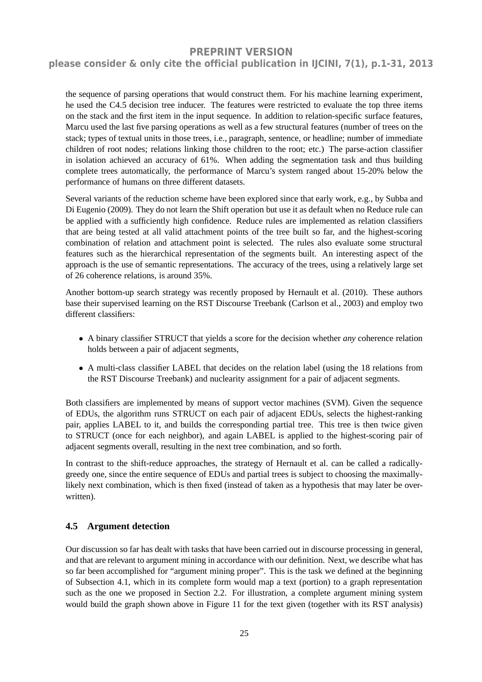### **please consider & only cite the official publication in IJCINI, 7(1), p.1-31, 2013**

the sequence of parsing operations that would construct them. For his machine learning experiment, he used the C4.5 decision tree inducer. The features were restricted to evaluate the top three items on the stack and the first item in the input sequence. In addition to relation-specific surface features, Marcu used the last five parsing operations as well as a few structural features (number of trees on the stack; types of textual units in those trees, i.e., paragraph, sentence, or headline; number of immediate children of root nodes; relations linking those children to the root; etc.) The parse-action classifier in isolation achieved an accuracy of 61%. When adding the segmentation task and thus building complete trees automatically, the performance of Marcu's system ranged about 15-20% below the performance of humans on three different datasets.

Several variants of the reduction scheme have been explored since that early work, e.g., by Subba and Di Eugenio (2009). They do not learn the Shift operation but use it as default when no Reduce rule can be applied with a sufficiently high confidence. Reduce rules are implemented as relation classifiers that are being tested at all valid attachment points of the tree built so far, and the highest-scoring combination of relation and attachment point is selected. The rules also evaluate some structural features such as the hierarchical representation of the segments built. An interesting aspect of the approach is the use of semantic representations. The accuracy of the trees, using a relatively large set of 26 coherence relations, is around 35%.

Another bottom-up search strategy was recently proposed by Hernault et al. (2010). These authors base their supervised learning on the RST Discourse Treebank (Carlson et al., 2003) and employ two different classifiers:

- A binary classifier STRUCT that yields a score for the decision whether *any* coherence relation holds between a pair of adjacent segments,
- A multi-class classifier LABEL that decides on the relation label (using the 18 relations from the RST Discourse Treebank) and nuclearity assignment for a pair of adjacent segments.

Both classifiers are implemented by means of support vector machines (SVM). Given the sequence of EDUs, the algorithm runs STRUCT on each pair of adjacent EDUs, selects the highest-ranking pair, applies LABEL to it, and builds the corresponding partial tree. This tree is then twice given to STRUCT (once for each neighbor), and again LABEL is applied to the highest-scoring pair of adjacent segments overall, resulting in the next tree combination, and so forth.

In contrast to the shift-reduce approaches, the strategy of Hernault et al. can be called a radicallygreedy one, since the entire sequence of EDUs and partial trees is subject to choosing the maximallylikely next combination, which is then fixed (instead of taken as a hypothesis that may later be overwritten).

#### **4.5 Argument detection**

Our discussion so far has dealt with tasks that have been carried out in discourse processing in general, and that are relevant to argument mining in accordance with our definition. Next, we describe what has so far been accomplished for "argument mining proper". This is the task we defined at the beginning of Subsection 4.1, which in its complete form would map a text (portion) to a graph representation such as the one we proposed in Section 2.2. For illustration, a complete argument mining system would build the graph shown above in Figure 11 for the text given (together with its RST analysis)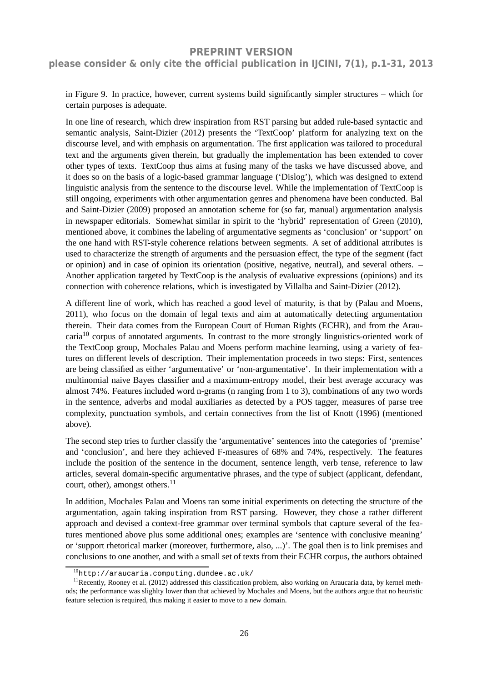**please consider & only cite the official publication in IJCINI, 7(1), p.1-31, 2013**

in Figure 9. In practice, however, current systems build significantly simpler structures – which for certain purposes is adequate.

In one line of research, which drew inspiration from RST parsing but added rule-based syntactic and semantic analysis, Saint-Dizier (2012) presents the 'TextCoop' platform for analyzing text on the discourse level, and with emphasis on argumentation. The first application was tailored to procedural text and the arguments given therein, but gradually the implementation has been extended to cover other types of texts. TextCoop thus aims at fusing many of the tasks we have discussed above, and it does so on the basis of a logic-based grammar language ('Dislog'), which was designed to extend linguistic analysis from the sentence to the discourse level. While the implementation of TextCoop is still ongoing, experiments with other argumentation genres and phenomena have been conducted. Bal and Saint-Dizier (2009) proposed an annotation scheme for (so far, manual) argumentation analysis in newspaper editorials. Somewhat similar in spirit to the 'hybrid' representation of Green (2010), mentioned above, it combines the labeling of argumentative segments as 'conclusion' or 'support' on the one hand with RST-style coherence relations between segments. A set of additional attributes is used to characterize the strength of arguments and the persuasion effect, the type of the segment (fact or opinion) and in case of opinion its orientation (positive, negative, neutral), and several others. – Another application targeted by TextCoop is the analysis of evaluative expressions (opinions) and its connection with coherence relations, which is investigated by Villalba and Saint-Dizier (2012).

A different line of work, which has reached a good level of maturity, is that by (Palau and Moens, 2011), who focus on the domain of legal texts and aim at automatically detecting argumentation therein. Their data comes from the European Court of Human Rights (ECHR), and from the Araucaria<sup>10</sup> corpus of annotated arguments. In contrast to the more strongly linguistics-oriented work of the TextCoop group, Mochales Palau and Moens perform machine learning, using a variety of features on different levels of description. Their implementation proceeds in two steps: First, sentences are being classified as either 'argumentative' or 'non-argumentative'. In their implementation with a multinomial naive Bayes classifier and a maximum-entropy model, their best average accuracy was almost 74%. Features included word n-grams (n ranging from 1 to 3), combinations of any two words in the sentence, adverbs and modal auxiliaries as detected by a POS tagger, measures of parse tree complexity, punctuation symbols, and certain connectives from the list of Knott (1996) (mentioned above).

The second step tries to further classify the 'argumentative' sentences into the categories of 'premise' and 'conclusion', and here they achieved F-measures of 68% and 74%, respectively. The features include the position of the sentence in the document, sentence length, verb tense, reference to law articles, several domain-specific argumentative phrases, and the type of subject (applicant, defendant, court, other), amongst others.<sup>11</sup>

In addition, Mochales Palau and Moens ran some initial experiments on detecting the structure of the argumentation, again taking inspiration from RST parsing. However, they chose a rather different approach and devised a context-free grammar over terminal symbols that capture several of the features mentioned above plus some additional ones; examples are 'sentence with conclusive meaning' or 'support rhetorical marker (moreover, furthermore, also, ...)'. The goal then is to link premises and conclusions to one another, and with a small set of texts from their ECHR corpus, the authors obtained

 $10$ http://araucaria.computing.dundee.ac.uk/

 $<sup>11</sup>$ Recently, Rooney et al. (2012) addressed this classification problem, also working on Araucaria data, by kernel meth-</sup> ods; the performance was slighlty lower than that achieved by Mochales and Moens, but the authors argue that no heuristic feature selection is required, thus making it easier to move to a new domain.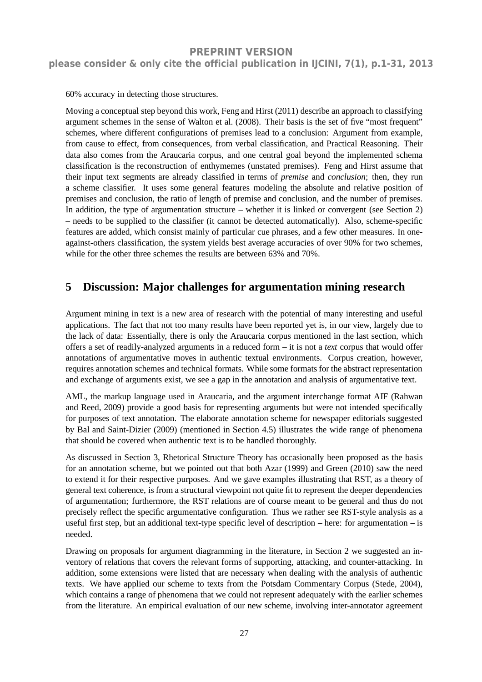60% accuracy in detecting those structures.

Moving a conceptual step beyond this work, Feng and Hirst (2011) describe an approach to classifying argument schemes in the sense of Walton et al. (2008). Their basis is the set of five "most frequent" schemes, where different configurations of premises lead to a conclusion: Argument from example, from cause to effect, from consequences, from verbal classification, and Practical Reasoning. Their data also comes from the Araucaria corpus, and one central goal beyond the implemented schema classification is the reconstruction of enthymemes (unstated premises). Feng and Hirst assume that their input text segments are already classified in terms of *premise* and *conclusion*; then, they run a scheme classifier. It uses some general features modeling the absolute and relative position of premises and conclusion, the ratio of length of premise and conclusion, and the number of premises. In addition, the type of argumentation structure – whether it is linked or convergent (see Section 2) – needs to be supplied to the classifier (it cannot be detected automatically). Also, scheme-specific features are added, which consist mainly of particular cue phrases, and a few other measures. In oneagainst-others classification, the system yields best average accuracies of over 90% for two schemes, while for the other three schemes the results are between 63% and 70%.

# **5 Discussion: Major challenges for argumentation mining research**

Argument mining in text is a new area of research with the potential of many interesting and useful applications. The fact that not too many results have been reported yet is, in our view, largely due to the lack of data: Essentially, there is only the Araucaria corpus mentioned in the last section, which offers a set of readily-analyzed arguments in a reduced form – it is not a *text* corpus that would offer annotations of argumentative moves in authentic textual environments. Corpus creation, however, requires annotation schemes and technical formats. While some formats for the abstract representation and exchange of arguments exist, we see a gap in the annotation and analysis of argumentative text.

AML, the markup language used in Araucaria, and the argument interchange format AIF (Rahwan and Reed, 2009) provide a good basis for representing arguments but were not intended specifically for purposes of text annotation. The elaborate annotation scheme for newspaper editorials suggested by Bal and Saint-Dizier (2009) (mentioned in Section 4.5) illustrates the wide range of phenomena that should be covered when authentic text is to be handled thoroughly.

As discussed in Section 3, Rhetorical Structure Theory has occasionally been proposed as the basis for an annotation scheme, but we pointed out that both Azar (1999) and Green (2010) saw the need to extend it for their respective purposes. And we gave examples illustrating that RST, as a theory of general text coherence, is from a structural viewpoint not quite fit to represent the deeper dependencies of argumentation; furthermore, the RST relations are of course meant to be general and thus do not precisely reflect the specific argumentative configuration. Thus we rather see RST-style analysis as a useful first step, but an additional text-type specific level of description – here: for argumentation – is needed.

Drawing on proposals for argument diagramming in the literature, in Section 2 we suggested an inventory of relations that covers the relevant forms of supporting, attacking, and counter-attacking. In addition, some extensions were listed that are necessary when dealing with the analysis of authentic texts. We have applied our scheme to texts from the Potsdam Commentary Corpus (Stede, 2004), which contains a range of phenomena that we could not represent adequately with the earlier schemes from the literature. An empirical evaluation of our new scheme, involving inter-annotator agreement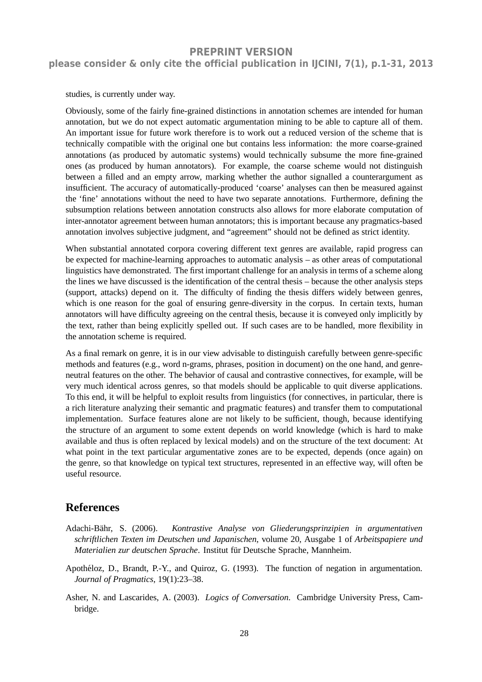studies, is currently under way.

Obviously, some of the fairly fine-grained distinctions in annotation schemes are intended for human annotation, but we do not expect automatic argumentation mining to be able to capture all of them. An important issue for future work therefore is to work out a reduced version of the scheme that is technically compatible with the original one but contains less information: the more coarse-grained annotations (as produced by automatic systems) would technically subsume the more fine-grained ones (as produced by human annotators). For example, the coarse scheme would not distinguish between a filled and an empty arrow, marking whether the author signalled a counterargument as insufficient. The accuracy of automatically-produced 'coarse' analyses can then be measured against the 'fine' annotations without the need to have two separate annotations. Furthermore, defining the subsumption relations between annotation constructs also allows for more elaborate computation of inter-annotator agreement between human annotators; this is important because any pragmatics-based annotation involves subjective judgment, and "agreement" should not be defined as strict identity.

When substantial annotated corpora covering different text genres are available, rapid progress can be expected for machine-learning approaches to automatic analysis – as other areas of computational linguistics have demonstrated. The first important challenge for an analysis in terms of a scheme along the lines we have discussed is the identification of the central thesis – because the other analysis steps (support, attacks) depend on it. The difficulty of finding the thesis differs widely between genres, which is one reason for the goal of ensuring genre-diversity in the corpus. In certain texts, human annotators will have difficulty agreeing on the central thesis, because it is conveyed only implicitly by the text, rather than being explicitly spelled out. If such cases are to be handled, more flexibility in the annotation scheme is required.

As a final remark on genre, it is in our view advisable to distinguish carefully between genre-specific methods and features (e.g., word n-grams, phrases, position in document) on the one hand, and genreneutral features on the other. The behavior of causal and contrastive connectives, for example, will be very much identical across genres, so that models should be applicable to quit diverse applications. To this end, it will be helpful to exploit results from linguistics (for connectives, in particular, there is a rich literature analyzing their semantic and pragmatic features) and transfer them to computational implementation. Surface features alone are not likely to be sufficient, though, because identifying the structure of an argument to some extent depends on world knowledge (which is hard to make available and thus is often replaced by lexical models) and on the structure of the text document: At what point in the text particular argumentative zones are to be expected, depends (once again) on the genre, so that knowledge on typical text structures, represented in an effective way, will often be useful resource.

### **References**

- Adachi-B¨ahr, S. (2006). *Kontrastive Analyse von Gliederungsprinzipien in argumentativen schriftlichen Texten im Deutschen und Japanischen*, volume 20, Ausgabe 1 of *Arbeitspapiere und Materialien zur deutschen Sprache*. Institut für Deutsche Sprache, Mannheim.
- Apothéloz, D., Brandt, P.-Y., and Quiroz, G. (1993). The function of negation in argumentation. *Journal of Pragmatics*, 19(1):23–38.
- Asher, N. and Lascarides, A. (2003). *Logics of Conversation*. Cambridge University Press, Cambridge.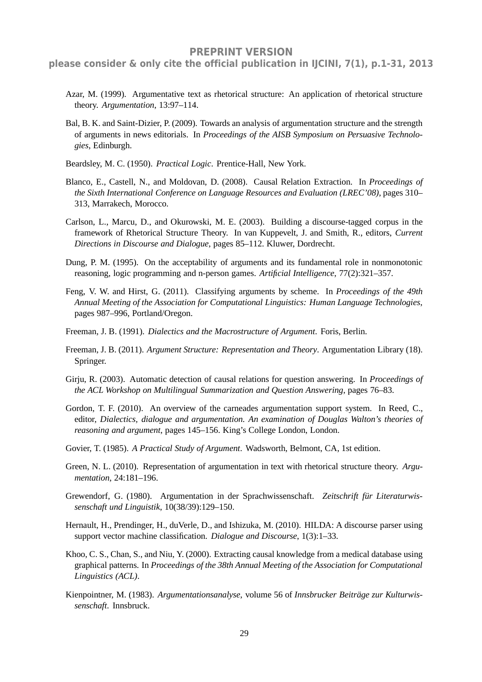**please consider & only cite the official publication in IJCINI, 7(1), p.1-31, 2013**

- Azar, M. (1999). Argumentative text as rhetorical structure: An application of rhetorical structure theory. *Argumentation*, 13:97–114.
- Bal, B. K. and Saint-Dizier, P. (2009). Towards an analysis of argumentation structure and the strength of arguments in news editorials. In *Proceedings of the AISB Symposium on Persuasive Technologies*, Edinburgh.
- Beardsley, M. C. (1950). *Practical Logic*. Prentice-Hall, New York.
- Blanco, E., Castell, N., and Moldovan, D. (2008). Causal Relation Extraction. In *Proceedings of the Sixth International Conference on Language Resources and Evaluation (LREC'08)*, pages 310– 313, Marrakech, Morocco.
- Carlson, L., Marcu, D., and Okurowski, M. E. (2003). Building a discourse-tagged corpus in the framework of Rhetorical Structure Theory. In van Kuppevelt, J. and Smith, R., editors, *Current Directions in Discourse and Dialogue*, pages 85–112. Kluwer, Dordrecht.
- Dung, P. M. (1995). On the acceptability of arguments and its fundamental role in nonmonotonic reasoning, logic programming and n-person games. *Artificial Intelligence*, 77(2):321–357.
- Feng, V. W. and Hirst, G. (2011). Classifying arguments by scheme. In *Proceedings of the 49th Annual Meeting of the Association for Computational Linguistics: Human Language Technologies*, pages 987–996, Portland/Oregon.
- Freeman, J. B. (1991). *Dialectics and the Macrostructure of Argument*. Foris, Berlin.
- Freeman, J. B. (2011). *Argument Structure: Representation and Theory*. Argumentation Library (18). Springer.
- Girju, R. (2003). Automatic detection of causal relations for question answering. In *Proceedings of the ACL Workshop on Multilingual Summarization and Question Answering*, pages 76–83.
- Gordon, T. F. (2010). An overview of the carneades argumentation support system. In Reed, C., editor, *Dialectics, dialogue and argumentation. An examination of Douglas Walton's theories of reasoning and argument*, pages 145–156. King's College London, London.
- Govier, T. (1985). *A Practical Study of Argument*. Wadsworth, Belmont, CA, 1st edition.
- Green, N. L. (2010). Representation of argumentation in text with rhetorical structure theory. *Argumentation*, 24:181–196.
- Grewendorf, G. (1980). Argumentation in der Sprachwissenschaft. *Zeitschrift fur Literaturwis- ¨ senschaft und Linguistik*, 10(38/39):129–150.
- Hernault, H., Prendinger, H., duVerle, D., and Ishizuka, M. (2010). HILDA: A discourse parser using support vector machine classification. *Dialogue and Discourse*, 1(3):1–33.
- Khoo, C. S., Chan, S., and Niu, Y. (2000). Extracting causal knowledge from a medical database using graphical patterns. In *Proceedings of the 38th Annual Meeting of the Association for Computational Linguistics (ACL)*.
- Kienpointner, M. (1983). *Argumentationsanalyse*, volume 56 of *Innsbrucker Beitrage zur Kulturwis- ¨ senschaft*. Innsbruck.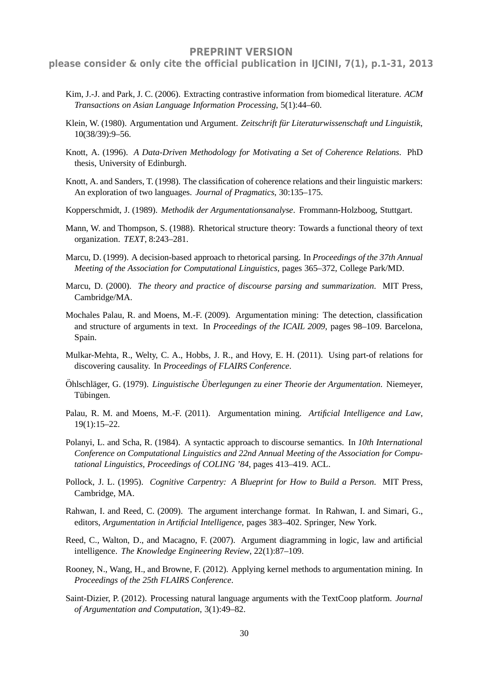- Kim, J.-J. and Park, J. C. (2006). Extracting contrastive information from biomedical literature. *ACM Transactions on Asian Language Information Processing*, 5(1):44–60.
- Klein, W. (1980). Argumentation und Argument. Zeitschrift für Literaturwissenschaft und Linguistik, 10(38/39):9–56.
- Knott, A. (1996). *A Data-Driven Methodology for Motivating a Set of Coherence Relations*. PhD thesis, University of Edinburgh.
- Knott, A. and Sanders, T. (1998). The classification of coherence relations and their linguistic markers: An exploration of two languages. *Journal of Pragmatics*, 30:135–175.
- Kopperschmidt, J. (1989). *Methodik der Argumentationsanalyse*. Frommann-Holzboog, Stuttgart.
- Mann, W. and Thompson, S. (1988). Rhetorical structure theory: Towards a functional theory of text organization. *TEXT*, 8:243–281.
- Marcu, D. (1999). A decision-based approach to rhetorical parsing. In *Proceedings of the 37th Annual Meeting of the Association for Computational Linguistics*, pages 365–372, College Park/MD.
- Marcu, D. (2000). *The theory and practice of discourse parsing and summarization*. MIT Press, Cambridge/MA.
- Mochales Palau, R. and Moens, M.-F. (2009). Argumentation mining: The detection, classification and structure of arguments in text. In *Proceedings of the ICAIL 2009*, pages 98–109. Barcelona, Spain.
- Mulkar-Mehta, R., Welty, C. A., Hobbs, J. R., and Hovy, E. H. (2011). Using part-of relations for discovering causality. In *Proceedings of FLAIRS Conference*.
- Ohlschl¨ager, G. (1979). ¨ *Linguistische Uberlegungen zu einer Theorie der Argumentation ¨* . Niemeyer, Tübingen.
- Palau, R. M. and Moens, M.-F. (2011). Argumentation mining. *Artificial Intelligence and Law*, 19(1):15–22.
- Polanyi, L. and Scha, R. (1984). A syntactic approach to discourse semantics. In *10th International Conference on Computational Linguistics and 22nd Annual Meeting of the Association for Computational Linguistics, Proceedings of COLING '84*, pages 413–419. ACL.
- Pollock, J. L. (1995). *Cognitive Carpentry: A Blueprint for How to Build a Person*. MIT Press, Cambridge, MA.
- Rahwan, I. and Reed, C. (2009). The argument interchange format. In Rahwan, I. and Simari, G., editors, *Argumentation in Artificial Intelligence*, pages 383–402. Springer, New York.
- Reed, C., Walton, D., and Macagno, F. (2007). Argument diagramming in logic, law and artificial intelligence. *The Knowledge Engineering Review*, 22(1):87–109.
- Rooney, N., Wang, H., and Browne, F. (2012). Applying kernel methods to argumentation mining. In *Proceedings of the 25th FLAIRS Conference*.
- Saint-Dizier, P. (2012). Processing natural language arguments with the TextCoop platform. *Journal of Argumentation and Computation*, 3(1):49–82.